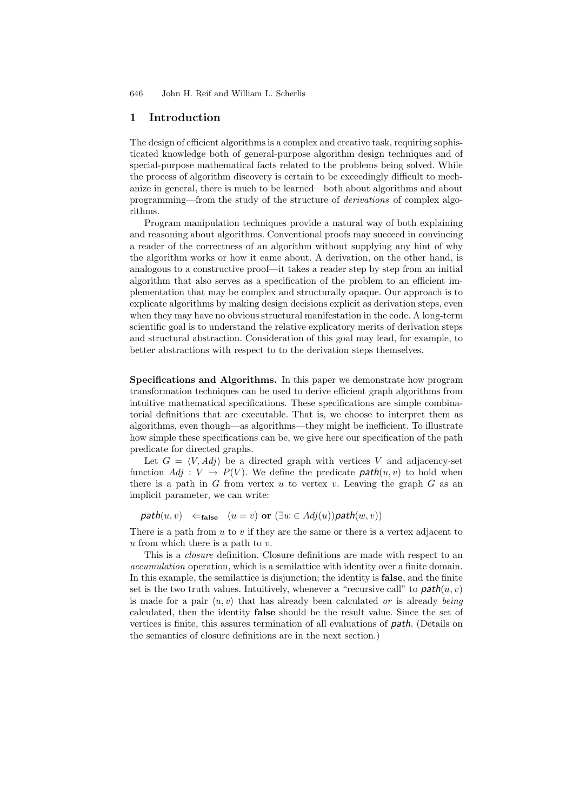## **1 Introduction**

The design of efficient algorithms is a complex and creative task, requiring sophisticated knowledge both of general-purpose algorithm design techniques and of special-purpose mathematical facts related to the problems being solved. While the process of algorithm discovery is certain to be exceedingly difficult to mechanize in general, there is much to be learned—both about algorithms and about programming—from the study of the structure of *derivations* of complex algorithms.

Program manipulation techniques provide a natural way of both explaining and reasoning about algorithms. Conventional proofs may succeed in convincing a reader of the correctness of an algorithm without supplying any hint of why the algorithm works or how it came about. A derivation, on the other hand, is analogous to a constructive proof—it takes a reader step by step from an initial algorithm that also serves as a specification of the problem to an efficient implementation that may be complex and structurally opaque. Our approach is to explicate algorithms by making design decisions explicit as derivation steps, even when they may have no obvious structural manifestation in the code. A long-term scientific goal is to understand the relative explicatory merits of derivation steps and structural abstraction. Consideration of this goal may lead, for example, to better abstractions with respect to to the derivation steps themselves.

**Specifications and Algorithms.** In this paper we demonstrate how program transformation techniques can be used to derive efficient graph algorithms from intuitive mathematical specifications. These specifications are simple combinatorial definitions that are executable. That is, we choose to interpret them as algorithms, even though—as algorithms—they might be inefficient. To illustrate how simple these specifications can be, we give here our specification of the path predicate for directed graphs.

Let  $G = \langle V, Adj \rangle$  be a directed graph with vertices V and adjacency-set function  $Adj: V \rightarrow P(V)$ . We define the predicate  $path(u, v)$  to hold when there is a path in  $G$  from vertex  $u$  to vertex  $v$ . Leaving the graph  $G$  as an implicit parameter, we can write:

 $path(u, v) \Leftarrow_{\text{false}} (u = v) \text{ or } (\exists w \in Adj(u)) \text{path}(w, v))$ 

There is a path from  $u$  to  $v$  if they are the same or there is a vertex adjacent to  $u$  from which there is a path to  $v$ .

This is a *closure* definition. Closure definitions are made with respect to an *accumulation* operation, which is a semilattice with identity over a finite domain. In this example, the semilattice is disjunction; the identity is **false**, and the finite set is the two truth values. Intuitively, whenever a "recursive call" to  $path(u, v)$ is made for a pair  $\langle u, v \rangle$  that has already been calculated *or* is already *being* calculated, then the identity **false** should be the result value. Since the set of vertices is finite, this assures termination of all evaluations of *path*. (Details on the semantics of closure definitions are in the next section.)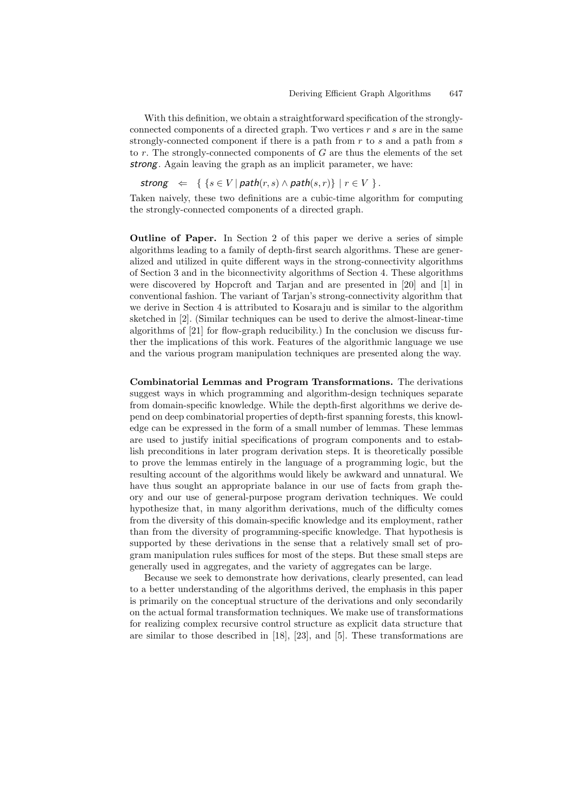With this definition, we obtain a straightforward specification of the stronglyconnected components of a directed graph. Two vertices  $r$  and  $s$  are in the same strongly-connected component if there is a path from  $r$  to  $s$  and a path from  $s$ to  $r$ . The strongly-connected components of  $G$  are thus the elements of the set *strong*. Again leaving the graph as an implicit parameter, we have:

$$
strong \Leftrightarrow \{ \{ s \in V \mid path(r, s) \land path(s, r) \} \mid r \in V \}.
$$

Taken naively, these two definitions are a cubic-time algorithm for computing the strongly-connected components of a directed graph.

**Outline of Paper.** In Section 2 of this paper we derive a series of simple algorithms leading to a family of depth-first search algorithms. These are generalized and utilized in quite different ways in the strong-connectivity algorithms of Section 3 and in the biconnectivity algorithms of Section 4. These algorithms were discovered by Hopcroft and Tarjan and are presented in [20] and [1] in conventional fashion. The variant of Tarjan's strong-connectivity algorithm that we derive in Section 4 is attributed to Kosaraju and is similar to the algorithm sketched in [2]. (Similar techniques can be used to derive the almost-linear-time algorithms of [21] for flow-graph reducibility.) In the conclusion we discuss further the implications of this work. Features of the algorithmic language we use and the various program manipulation techniques are presented along the way.

**Combinatorial Lemmas and Program Transformations.** The derivations suggest ways in which programming and algorithm-design techniques separate from domain-specific knowledge. While the depth-first algorithms we derive depend on deep combinatorial properties of depth-first spanning forests, this knowledge can be expressed in the form of a small number of lemmas. These lemmas are used to justify initial specifications of program components and to establish preconditions in later program derivation steps. It is theoretically possible to prove the lemmas entirely in the language of a programming logic, but the resulting account of the algorithms would likely be awkward and unnatural. We have thus sought an appropriate balance in our use of facts from graph theory and our use of general-purpose program derivation techniques. We could hypothesize that, in many algorithm derivations, much of the difficulty comes from the diversity of this domain-specific knowledge and its employment, rather than from the diversity of programming-specific knowledge. That hypothesis is supported by these derivations in the sense that a relatively small set of program manipulation rules suffices for most of the steps. But these small steps are generally used in aggregates, and the variety of aggregates can be large.

Because we seek to demonstrate how derivations, clearly presented, can lead to a better understanding of the algorithms derived, the emphasis in this paper is primarily on the conceptual structure of the derivations and only secondarily on the actual formal transformation techniques. We make use of transformations for realizing complex recursive control structure as explicit data structure that are similar to those described in [18], [23], and [5]. These transformations are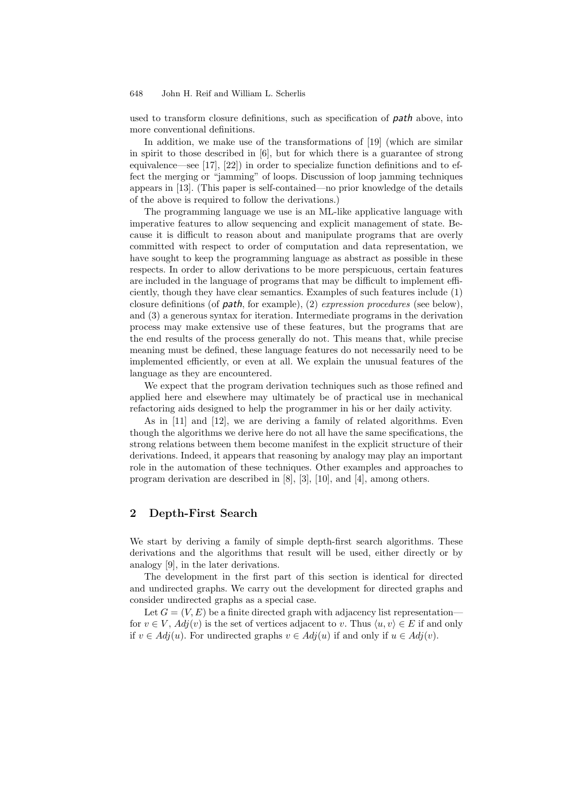used to transform closure definitions, such as specification of *path* above, into more conventional definitions.

In addition, we make use of the transformations of [19] (which are similar in spirit to those described in [6], but for which there is a guarantee of strong equivalence—see [17], [22]) in order to specialize function definitions and to effect the merging or "jamming" of loops. Discussion of loop jamming techniques appears in [13]. (This paper is self-contained—no prior knowledge of the details of the above is required to follow the derivations.)

The programming language we use is an ML-like applicative language with imperative features to allow sequencing and explicit management of state. Because it is difficult to reason about and manipulate programs that are overly committed with respect to order of computation and data representation, we have sought to keep the programming language as abstract as possible in these respects. In order to allow derivations to be more perspicuous, certain features are included in the language of programs that may be difficult to implement efficiently, though they have clear semantics. Examples of such features include (1) closure definitions (of *path*, for example), (2) *expression procedures* (see below), and (3) a generous syntax for iteration. Intermediate programs in the derivation process may make extensive use of these features, but the programs that are the end results of the process generally do not. This means that, while precise meaning must be defined, these language features do not necessarily need to be implemented efficiently, or even at all. We explain the unusual features of the language as they are encountered.

We expect that the program derivation techniques such as those refined and applied here and elsewhere may ultimately be of practical use in mechanical refactoring aids designed to help the programmer in his or her daily activity.

As in [11] and [12], we are deriving a family of related algorithms. Even though the algorithms we derive here do not all have the same specifications, the strong relations between them become manifest in the explicit structure of their derivations. Indeed, it appears that reasoning by analogy may play an important role in the automation of these techniques. Other examples and approaches to program derivation are described in [8], [3], [10], and [4], among others.

## **2 Depth-First Search**

We start by deriving a family of simple depth-first search algorithms. These derivations and the algorithms that result will be used, either directly or by analogy [9], in the later derivations.

The development in the first part of this section is identical for directed and undirected graphs. We carry out the development for directed graphs and consider undirected graphs as a special case.

Let  $G = (V, E)$  be a finite directed graph with adjacency list representation for  $v \in V$ ,  $Adj(v)$  is the set of vertices adjacent to v. Thus  $\langle u, v \rangle \in E$  if and only if  $v \in Adj(u)$ . For undirected graphs  $v \in Adj(u)$  if and only if  $u \in Adj(v)$ .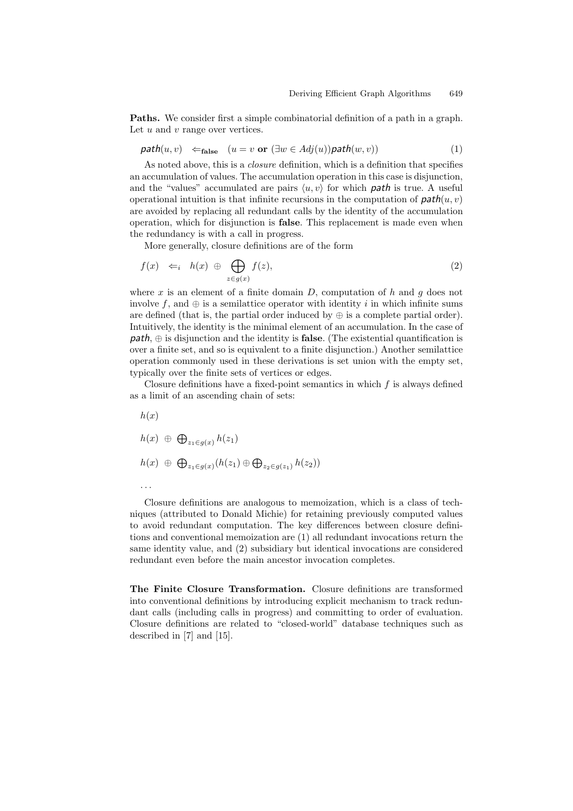**Paths.** We consider first a simple combinatorial definition of a path in a graph. Let  $u$  and  $v$  range over vertices.

$$
path(u, v) \leftarrow_{\text{false}} (u = v \text{ or } (\exists w \in Adj(u)) \text{path}(w, v))
$$
\n(1)

As noted above, this is a *closure* definition, which is a definition that specifies an accumulation of values. The accumulation operation in this case is disjunction, and the "values" accumulated are pairs  $\langle u, v \rangle$  for which **path** is true. A useful operational intuition is that infinite recursions in the computation of  $path(u, v)$ are avoided by replacing all redundant calls by the identity of the accumulation operation, which for disjunction is **false**. This replacement is made even when the redundancy is with a call in progress.

More generally, closure definitions are of the form

$$
f(x) \iff h(x) \oplus \bigoplus_{z \in g(x)} f(z), \tag{2}
$$

where x is an element of a finite domain D, computation of h and q does not involve f, and  $\oplus$  is a semilattice operator with identity i in which infinite sums are defined (that is, the partial order induced by  $\oplus$  is a complete partial order). Intuitively, the identity is the minimal element of an accumulation. In the case of *path*, ⊕ is disjunction and the identity is **false**. (The existential quantification is over a finite set, and so is equivalent to a finite disjunction.) Another semilattice operation commonly used in these derivations is set union with the empty set, typically over the finite sets of vertices or edges.

Closure definitions have a fixed-point semantics in which  $f$  is always defined as a limit of an ascending chain of sets:

 $h(x)$  $h(x) \oplus \bigoplus_{z_1 \in g(x)} h(z_1)$  $h(x) \oplus \bigoplus_{z_1 \in g(x)} (h(z_1) \oplus \bigoplus_{z_2 \in g(z_1)} h(z_2))$ ···

Closure definitions are analogous to memoization, which is a class of techniques (attributed to Donald Michie) for retaining previously computed values to avoid redundant computation. The key differences between closure definitions and conventional memoization are (1) all redundant invocations return the same identity value, and (2) subsidiary but identical invocations are considered redundant even before the main ancestor invocation completes.

**The Finite Closure Transformation.** Closure definitions are transformed into conventional definitions by introducing explicit mechanism to track redundant calls (including calls in progress) and committing to order of evaluation. Closure definitions are related to "closed-world" database techniques such as described in [7] and [15].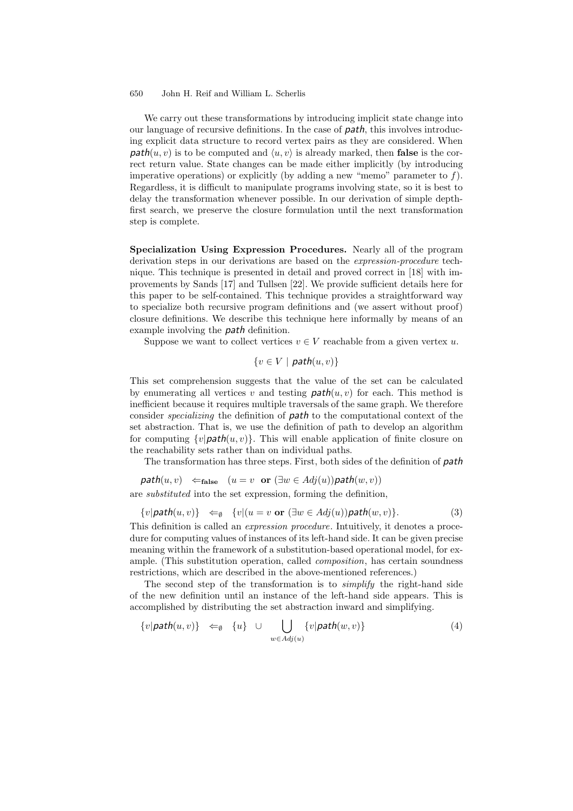We carry out these transformations by introducing implicit state change into our language of recursive definitions. In the case of *path*, this involves introducing explicit data structure to record vertex pairs as they are considered. When  $path(u, v)$  is to be computed and  $\langle u, v \rangle$  is already marked, then **false** is the correct return value. State changes can be made either implicitly (by introducing imperative operations) or explicitly (by adding a new "memo" parameter to  $f$ ). Regardless, it is difficult to manipulate programs involving state, so it is best to delay the transformation whenever possible. In our derivation of simple depthfirst search, we preserve the closure formulation until the next transformation step is complete.

**Specialization Using Expression Procedures.** Nearly all of the program derivation steps in our derivations are based on the *expression-procedure* technique. This technique is presented in detail and proved correct in [18] with improvements by Sands [17] and Tullsen [22]. We provide sufficient details here for this paper to be self-contained. This technique provides a straightforward way to specialize both recursive program definitions and (we assert without proof) closure definitions. We describe this technique here informally by means of an example involving the *path* definition.

Suppose we want to collect vertices  $v \in V$  reachable from a given vertex u.

 ${v \in V \mid \mathit{path}(u, v)}$ 

This set comprehension suggests that the value of the set can be calculated by enumerating all vertices v and testing  $path(u, v)$  for each. This method is inefficient because it requires multiple traversals of the same graph. We therefore consider *specializing* the definition of *path* to the computational context of the set abstraction. That is, we use the definition of path to develop an algorithm for computing  $\{v | \mathbf{path}(u, v)\}$ . This will enable application of finite closure on the reachability sets rather than on individual paths.

The transformation has three steps. First, both sides of the definition of *path*

$$
\mathit{path}(u, v) \leftarrow_{\mathit{false}} (u = v \mathit{or} (\exists w \in Adj(u)) \mathit{path}(w, v))
$$
  
are substituted into the set expression, forming the definition

 $\{v| \textit{path}(u, v)\} \Leftrightarrow \{v|(u = v \text{ or } (\exists w \in Adj(u)) \textit{path}(w, v)\}.$  (3)

This definition is called an *expression procedure*. Intuitively, it denotes a procedure for computing values of instances of its left-hand side. It can be given precise meaning within the framework of a substitution-based operational model, for example. (This substitution operation, called *composition*, has certain soundness restrictions, which are described in the above-mentioned references.)

The second step of the transformation is to *simplify* the right-hand side of the new definition until an instance of the left-hand side appears. This is accomplished by distributing the set abstraction inward and simplifying.

$$
\{v|\mathit{path}(u,v)\} \Leftrightarrow \{u\} \cup \bigcup_{w \in Adj(u)} \{v|\mathit{path}(w,v)\} \tag{4}
$$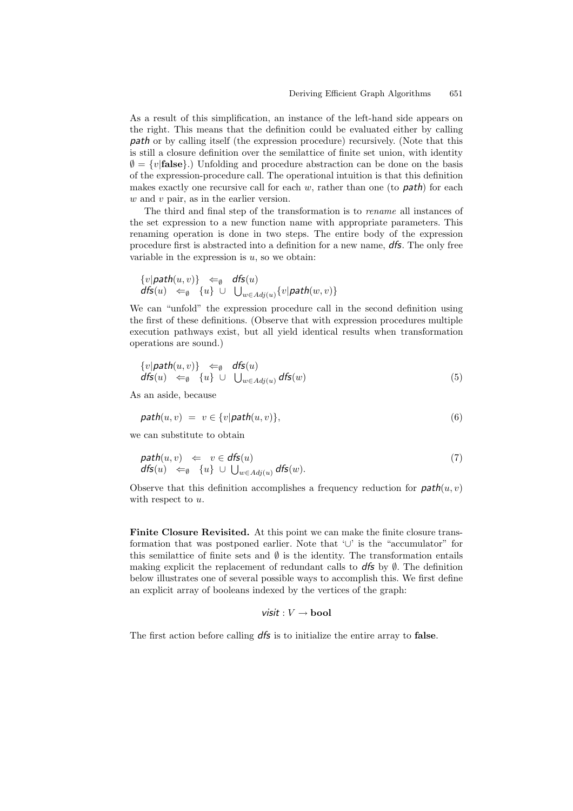As a result of this simplification, an instance of the left-hand side appears on the right. This means that the definition could be evaluated either by calling *path* or by calling itself (the expression procedure) recursively. (Note that this is still a closure definition over the semilattice of finite set union, with identity  $\varnothing = \{v | \text{false}\}\.$ ) Unfolding and procedure abstraction can be done on the basis of the expression-procedure call. The operational intuition is that this definition makes exactly one recursive call for each w, rather than one (to *path*) for each w and v pair, as in the earlier version.

The third and final step of the transformation is to *rename* all instances of the set expression to a new function name with appropriate parameters. This renaming operation is done in two steps. The entire body of the expression procedure first is abstracted into a definition for a new name, *dfs*. The only free variable in the expression is  $u$ , so we obtain:

$$
\begin{array}{l}\{v|\mathit{path}(u,v)\}\quad \Leftarrow_{\emptyset}\quad \mathit{dfs}(u)\\\mathit{dfs}(u)\quad \Leftarrow_{\emptyset}\quad \{u\}\ \cup\ \ \bigcup_{w\in \mathit{Adj}(u)}\{v|\mathit{path}(w,v)\}\end{array}
$$

We can "unfold" the expression procedure call in the second definition using the first of these definitions. (Observe that with expression procedures multiple execution pathways exist, but all yield identical results when transformation operations are sound.)

$$
\{v|\mathit{path}(u,v)\} \Leftarrow_{\emptyset} \mathit{dfs}(u) \n\mathit{dfs}(u) \Leftarrow_{\emptyset} \{u\} \cup \bigcup_{w \in \mathit{Adj}(u)} \mathit{dfs}(w)
$$
\n(5)

As an aside, because

$$
path(u, v) = v \in \{v | path(u, v)\},\tag{6}
$$

we can substitute to obtain

$$
\begin{array}{rcl}\n\mathit{path}(u, v) & \Leftarrow & v \in \mathit{dfs}(u) \\
\mathit{dfs}(u) & \Leftarrow_{\emptyset} \{u\} \cup \bigcup_{w \in \mathit{Adj}(u)} \mathit{dfs}(w).\n\end{array} \tag{7}
$$

Observe that this definition accomplishes a frequency reduction for  $path(u, v)$ with respect to  $u$ .

**Finite Closure Revisited.** At this point we can make the finite closure transformation that was postponed earlier. Note that '∪' is the "accumulator" for this semilattice of finite sets and  $\emptyset$  is the identity. The transformation entails making explicit the replacement of redundant calls to  $d\mathbf{f}$  by  $\emptyset$ . The definition below illustrates one of several possible ways to accomplish this. We first define an explicit array of booleans indexed by the vertices of the graph:

### *visit* : V → **bool**

The first action before calling *dfs* is to initialize the entire array to **false**.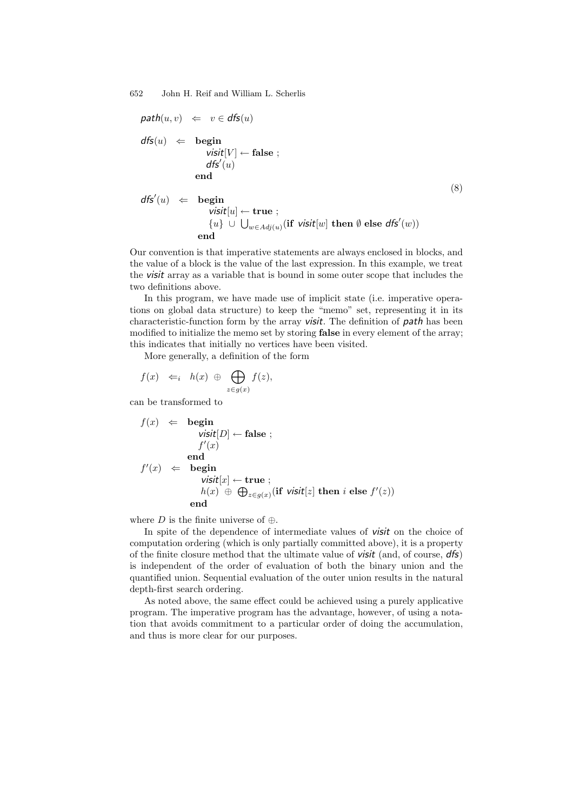$$
\begin{array}{lcl} \mathit{path}(u, v) & \Leftarrow & v \in \mathit{dfs}(u) \\ & \mathit{dfs}(u) & \Leftarrow & \mathit{begin}[V] \\ \mathit{visit}[V] \leftarrow \mathit{false} \; ; \\ & \mathit{dfs}'(u) \\ & \mathit{end} \end{array} \tag{8}
$$
\n
$$
\begin{array}{lcl} \mathit{dfs}'(u) & \Leftarrow & \mathit{begin}(v) \\ \mathit{visit}[u] \leftarrow \mathit{true} \; ; \\ & \{u\} \; \cup \; \bigcup_{w \in \mathit{Adj}(u)} (\mathit{if} \; \mathit{visit}[w] \; \mathit{then} \; \emptyset \; \mathit{else} \; \mathit{dfs}'(w)) \\ & \mathit{end} \end{array} \tag{9}
$$

Our convention is that imperative statements are always enclosed in blocks, and the value of a block is the value of the last expression. In this example, we treat the *visit* array as a variable that is bound in some outer scope that includes the two definitions above.

In this program, we have made use of implicit state (i.e. imperative operations on global data structure) to keep the "memo" set, representing it in its characteristic-function form by the array *visit*. The definition of *path* has been modified to initialize the memo set by storing **false** in every element of the array; this indicates that initially no vertices have been visited.

More generally, a definition of the form

$$
f(x) \Leftrightarrow h(x) \oplus \bigoplus_{z \in g(x)} f(z),
$$

can be transformed to

$$
f(x) \Leftarrow \begin{array}{rcl} \text{begin} \\[-12pt] \text{begin} \\[-12pt] \text{begin} \\[-12pt] \text{end} \end{array} & \text{visit}[D] \leftarrow \text{false} \; ; \\ \text{end} \\ f'(x) \Leftarrow \begin{array}{rcl} \text{end} \\ \text{begin} \\ \text{visit}[x] \leftarrow \text{true} \; ; \\ h(x) \; \oplus \; \bigoplus_{z \in g(x)} (\text{if } \text{visit}[z] \; \text{then } i \; \text{else } f'(z)) \\ \text{end} \end{array}
$$

where D is the finite universe of  $\oplus$ .

In spite of the dependence of intermediate values of *visit* on the choice of computation ordering (which is only partially committed above), it is a property of the finite closure method that the ultimate value of *visit* (and, of course, *dfs*) is independent of the order of evaluation of both the binary union and the quantified union. Sequential evaluation of the outer union results in the natural depth-first search ordering.

As noted above, the same effect could be achieved using a purely applicative program. The imperative program has the advantage, however, of using a notation that avoids commitment to a particular order of doing the accumulation, and thus is more clear for our purposes.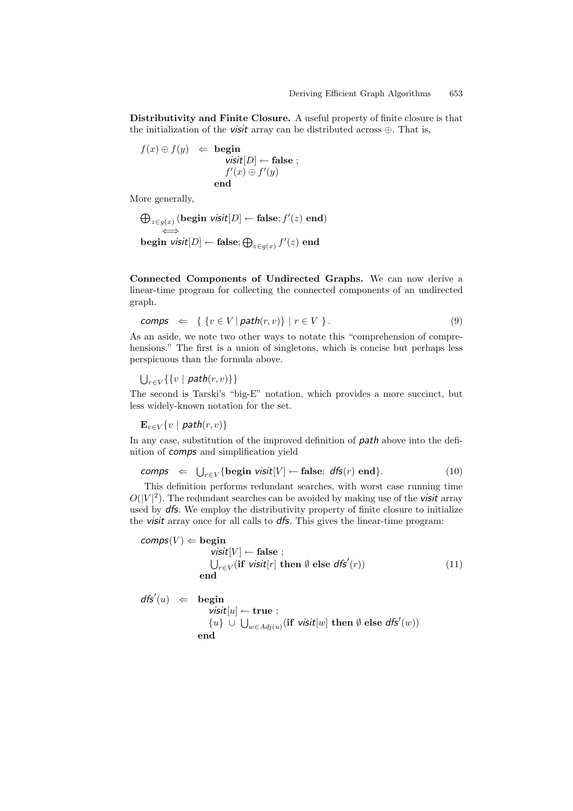**Distributivity and Finite Closure.** A useful property of finite closure is that the initialization of the *visit* array can be distributed across ⊕. That is,

$$
f(x) \oplus f(y) \quad \Leftarrow \quad \text{begin} \text{begin} \\ \text{visit}[D] \leftarrow \text{false} \\ f'(x) \oplus f'(y) \\ \text{end} \end{array};
$$

More generally,

$$
\begin{aligned} &\bigoplus_{z\in g(x)}\left(\text{begin } \text{visit}[D] \leftarrow \text{false}; f'(z) \text{ end}\right)\\ &\Longleftrightarrow\\ &\text{begin } \text{visit}[D] \leftarrow \text{false}; \bigoplus_{z\in g(x)} f'(z) \text{ end}\end{aligned}\end{aligned}
$$

**Connected Components of Undirected Graphs.** We can now derive a linear-time program for collecting the connected components of an undirected graph.

$$
comps \Leftarrow \{ \{v \in V \mid path(r, v) \} \mid r \in V \}.
$$
\n
$$
(9)
$$

As an aside, we note two other ways to notate this "comprehension of comprehensions." The first is a union of singletons, which is concise but perhaps less perspicuous than the formula above.

 $\bigcup_{r\in V}\{\{v \mid \mathit{path}(r, v)\}\}\$ 

The second is Tarski's "big-E" notation, which provides a more succinct, but less widely-known notation for the set.

 $\mathbf{E}_{r \in V} \{v \mid \mathit{path}(r, v)\}$ 

In any case, substitution of the improved definition of *path* above into the definition of *comps* and simplification yield

$$
\textit{comps} \;\; \Leftarrow \;\; \bigcup_{r \in V} \{ \text{begin } \textit{visit}[V] \leftarrow \textbf{false}; \; \textit{dfs}(r) \; \textbf{end} \}. \tag{10}
$$

This definition performs redundant searches, with worst case running time  $O(|V|^2)$ . The redundant searches can be avoided by making use of the *visit* array used by *dfs*. We employ the distributivity property of finite closure to initialize the *visit* array once for all calls to *dfs*. This gives the linear-time program:

 $\mathsf{comps}(V) \Leftarrow \mathbf{begin}$  $visit[V] \leftarrow false;$  $\bigcup_{r \in V} (\textbf{if } \text{visit}[r] \textbf{ then } \emptyset \textbf{ else } \textbf{dfs}'(r))$  (11) **end**

 $dfs'(u) \Leftrightarrow \text{begin}$ *visit*[u] ← **true** ;  ${u}$  ∪ ∪ $w ∈ Adj(u)$  (**if** *visit*[w] **then** ∅ **else** *dfs'*(w)) **end**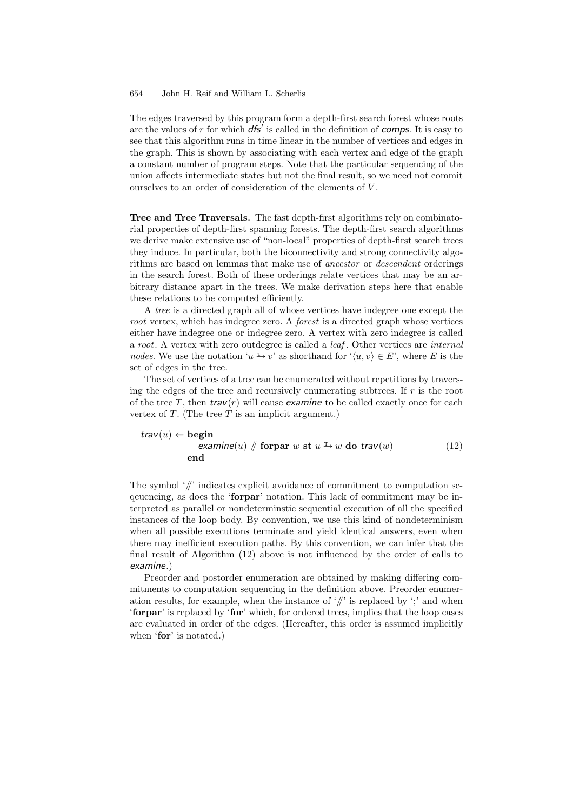The edges traversed by this program form a depth-first search forest whose roots are the values of r for which *dfs* is called in the definition of *comps*. It is easy to see that this algorithm runs in time linear in the number of vertices and edges in the graph. This is shown by associating with each vertex and edge of the graph a constant number of program steps. Note that the particular sequencing of the union affects intermediate states but not the final result, so we need not commit ourselves to an order of consideration of the elements of  $V$ .

**Tree and Tree Traversals.** The fast depth-first algorithms rely on combinatorial properties of depth-first spanning forests. The depth-first search algorithms we derive make extensive use of "non-local" properties of depth-first search trees they induce. In particular, both the biconnectivity and strong connectivity algorithms are based on lemmas that make use of *ancestor* or *descendent* orderings in the search forest. Both of these orderings relate vertices that may be an arbitrary distance apart in the trees. We make derivation steps here that enable these relations to be computed efficiently.

A *tree* is a directed graph all of whose vertices have indegree one except the *root* vertex, which has indegree zero. A *forest* is a directed graph whose vertices either have indegree one or indegree zero. A vertex with zero indegree is called a *root*. A vertex with zero outdegree is called a *leaf* . Other vertices are *internal nodes*. We use the notation 'u<sup>'</sup>  $\rightarrow v$ ' as shorthand for ' $\langle u, v \rangle \in E$ ', where E is the set of edges in the tree.

The set of vertices of a tree can be enumerated without repetitions by traversing the edges of the tree and recursively enumerating subtrees. If  $r$  is the root of the tree T, then  $trav(r)$  will cause *examine* to be called exactly once for each vertex of  $T$ . (The tree  $T$  is an implicit argument.)

$$
trav(u) ← begin\nexamine(u) // forpar w st u ⊐ w do trav(w)\nand (12)
$$

The symbol  $\frac{1}{l}$  indicates explicit avoidance of commitment to computation seqeuencing, as does the '**forpar**' notation. This lack of commitment may be interpreted as parallel or nondeterminstic sequential execution of all the specified instances of the loop body. By convention, we use this kind of nondeterminism when all possible executions terminate and yield identical answers, even when there may inefficient execution paths. By this convention, we can infer that the final result of Algorithm (12) above is not influenced by the order of calls to *examine*.)

Preorder and postorder enumeration are obtained by making differing commitments to computation sequencing in the definition above. Preorder enumeration results, for example, when the instance of  $\frac{y}{z}$  is replaced by  $\frac{y}{z}$  and when '**forpar**' is replaced by '**for**' which, for ordered trees, implies that the loop cases are evaluated in order of the edges. (Hereafter, this order is assumed implicitly when '**for**' is notated.)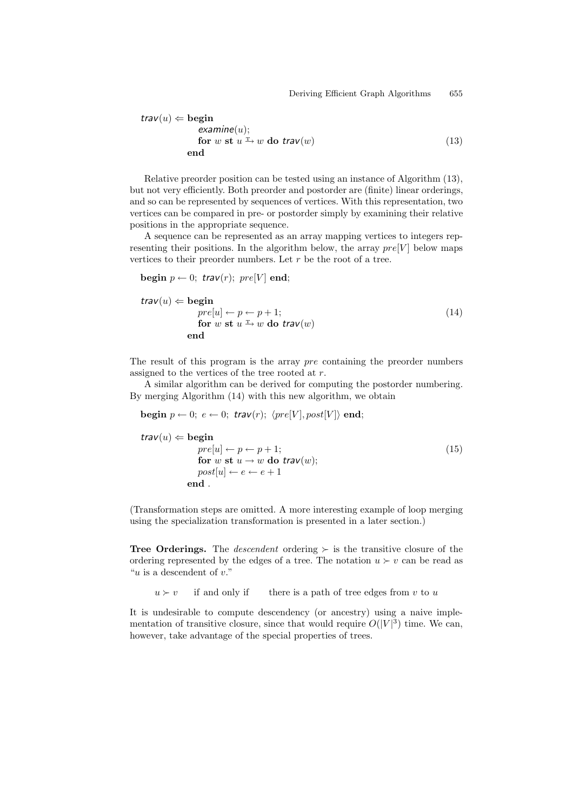$$
trav(u) \Leftarrow \text{begin} \n\text{examine}(u); \\
\text{for } w \text{ st } u \xrightarrow{\text{T}} w \text{ do } trav(w) \\
\text{end}\n\tag{13}
$$

Relative preorder position can be tested using an instance of Algorithm (13), but not very efficiently. Both preorder and postorder are (finite) linear orderings, and so can be represented by sequences of vertices. With this representation, two vertices can be compared in pre- or postorder simply by examining their relative positions in the appropriate sequence.

A sequence can be represented as an array mapping vertices to integers representing their positions. In the algorithm below, the array  $pre[V]$  below maps vertices to their preorder numbers. Let  $r$  be the root of a tree.

$$
\mathbf{begin}\np \leftarrow 0; \; \mathit{trav}(r); \; \mathit{pre}[V] \; \mathbf{end};
$$

$$
trav(u) \Leftarrow \text{begin} \npre[u] \leftarrow p \leftarrow p + 1; \\
 \text{for } w \text{ st } u \xrightarrow{\text{T}} w \text{ do } trav(w) \\
 \text{end} \n\tag{14}
$$

The result of this program is the array *pre* containing the preorder numbers assigned to the vertices of the tree rooted at r.

A similar algorithm can be derived for computing the postorder numbering. By merging Algorithm (14) with this new algorithm, we obtain

$$
\textbf{begin } p \leftarrow 0; \ e \leftarrow 0; \ \textit{trav}(r); \ \langle \textit{pre}[V], \textit{post}[V] \rangle \ \textbf{end};
$$

$$
trav(u) \Leftarrow \text{begin} \npre[u] \leftarrow p \leftarrow p + 1; \\
pre[u] \leftarrow p \leftarrow p + 1; \\
for w \text{ st } u \rightarrow w \text{ do } trav(w); \\
post[u] \leftarrow e \leftarrow e + 1\nend{cases} \tag{15}
$$

(Transformation steps are omitted. A more interesting example of loop merging using the specialization transformation is presented in a later section.)

**Tree Orderings.** The *descendent* ordering  $\succ$  is the transitive closure of the ordering represented by the edges of a tree. The notation  $u \succ v$  can be read as "u is a descendent of  $v$ ."

 $u > v$  if and only if there is a path of tree edges from v to u

It is undesirable to compute descendency (or ancestry) using a naive implementation of transitive closure, since that would require  $O(|V|^3)$  time. We can, however, take advantage of the special properties of trees.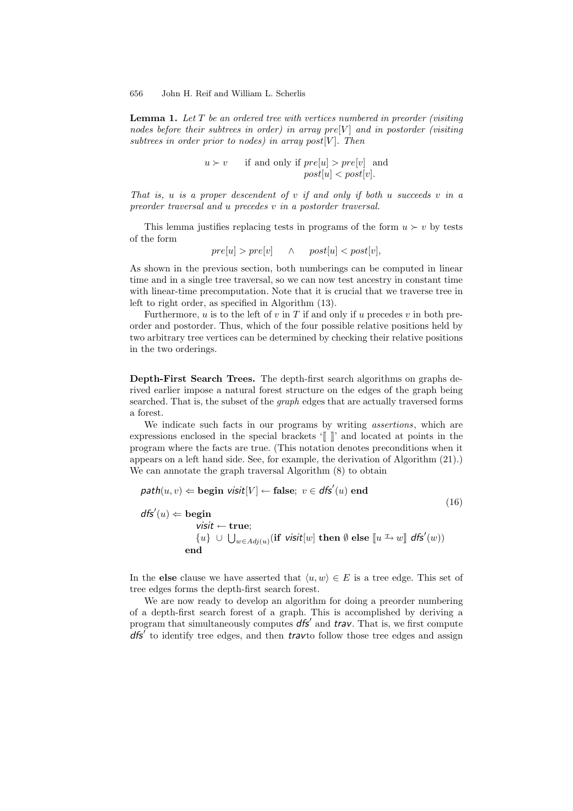**Lemma 1.** *Let* T *be an ordered tree with vertices numbered in preorder (visiting nodes before their subtrees in order) in array pre[V] and in postorder (visiting subtrees in order prior to nodes) in array post*[ $V$ ]. Then

> $u \succ v$  if and only if  $pre[u] > pre[v]$  and  $post[u] < post[v].$

*That is,* u *is a proper descendent of* v *if and only if both* u *succeeds* v *in a preorder traversal and* u *precedes* v *in a postorder traversal.*

This lemma justifies replacing tests in programs of the form  $u > v$  by tests of the form

 $pre[u] > pre[v]$   $\wedge$   $post[u] < post[v],$ 

As shown in the previous section, both numberings can be computed in linear time and in a single tree traversal, so we can now test ancestry in constant time with linear-time precomputation. Note that it is crucial that we traverse tree in left to right order, as specified in Algorithm (13).

Furthermore,  $u$  is to the left of  $v$  in  $T$  if and only if  $u$  precedes  $v$  in both preorder and postorder. Thus, which of the four possible relative positions held by two arbitrary tree vertices can be determined by checking their relative positions in the two orderings.

**Depth-First Search Trees.** The depth-first search algorithms on graphs derived earlier impose a natural forest structure on the edges of the graph being searched. That is, the subset of the *graph* edges that are actually traversed forms a forest.

We indicate such facts in our programs by writing *assertions*, which are expressions enclosed in the special brackets '[[ ]]' and located at points in the program where the facts are true. (This notation denotes preconditions when it appears on a left hand side. See, for example, the derivation of Algorithm (21).) We can annotate the graph traversal Algorithm  $(8)$  to obtain

$$
\mathit{path}(u, v) \Leftarrow \mathit{begin} \n\textit{light} \quad \textit{visit}[V] \leftarrow \mathit{false}; \ v \in \mathit{dfs}'(u) \text{ end} \\
\mathit{dfs}'(u) \Leftarrow \mathit{begin} \quad \textit{visit} \leftarrow \mathit{true}; \\
\textit{visit} \leftarrow \mathit{true}; \\
\{u\} \cup \bigcup_{w \in \mathit{Adj}(u)} (\mathit{if} \mathit{visit}[w] \text{ then } \emptyset \text{ else } [u \xrightarrow{r} w] \mathit{dfs}'(w)) \\
\text{end}\n\end{math}
$$
\n(16)

In the **else** clause we have asserted that  $\langle u, w \rangle \in E$  is a tree edge. This set of tree edges forms the depth-first search forest.

We are now ready to develop an algorithm for doing a preorder numbering of a depth-first search forest of a graph. This is accomplished by deriving a program that simultaneously computes  $dfs'$  and *trav*. That is, we first compute *dfs* to identify tree edges, and then *trav*to follow those tree edges and assign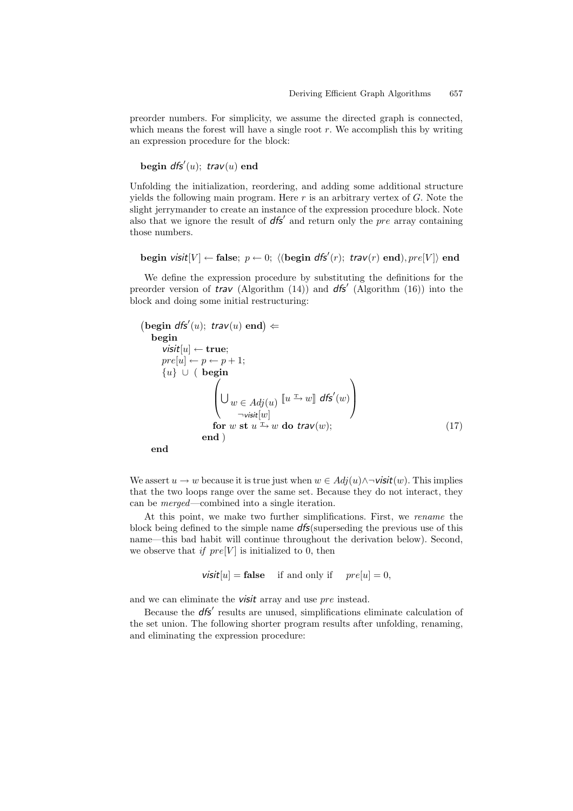preorder numbers. For simplicity, we assume the directed graph is connected, which means the forest will have a single root  $r$ . We accomplish this by writing an expression procedure for the block:

**begin** *dfs* (u); *trav*(u) **end**

Unfolding the initialization, reordering, and adding some additional structure yields the following main program. Here r is an arbitrary vertex of  $G$ . Note the slight jerrymander to create an instance of the expression procedure block. Note also that we ignore the result of  $dfs'$  and return only the pre array containing those numbers.

 $\mathbf{begin} \mathbf{v} \in \mathbb{R}^n \mathbb{Z}$  is  $\mathbb{Z}^n$  and  $\mathbb{Z}^n$   $\mathbb{Z}^n$  and  $\mathbb{Z}^n$  and  $\mathbb{Z}^n$  and  $\mathbb{Z}^n$  and  $\mathbb{Z}^n$  and  $\mathbb{Z}^n$  and  $\mathbb{Z}^n$  and  $\mathbb{Z}^n$  and  $\mathbb{Z}^n$  and  $\mathbb{Z}^n$  and  $\mathbb{Z}^n$ 

We define the expression procedure by substituting the definitions for the preorder version of *trav* (Algorithm (14)) and *dfs* (Algorithm (16)) into the block and doing some initial restructuring:

```
(\text{begin } dfs'(u); \text{ } trav(u) \text{ end}) \leftarrowbegin
       visit[u] ← true;
      pre[u] \leftarrow p \leftarrow p + 1;{u} ∪ ( begin
                          \sqrt{ }\bigcup_{w \in Adj(u)}\negvisit[w]\llbracket u \xrightarrow{\text{r}} w \rrbracket dfs'(w)
                                                                           \setminus\Big\}for w st u \xrightarrow{\text{T}} w do trav(w); (17)
                      end )
```
**end**

We assert  $u \to w$  because it is true just when  $w \in Adj(u) \land \neg \textit{visit}(w)$ . This implies that the two loops range over the same set. Because they do not interact, they can be *merged*—combined into a single iteration.

At this point, we make two further simplifications. First, we *rename* the block being defined to the simple name *dfs*(superseding the previous use of this name—this bad habit will continue throughout the derivation below). Second, we observe that *if*  $pre[V]$  is initialized to 0, then

*visit*[u] = **false** if and only if  $pre[u]=0$ ,

and we can eliminate the *visit* array and use pre instead.

Because the **dfs'** results are unused, simplifications eliminate calculation of the set union. The following shorter program results after unfolding, renaming, and eliminating the expression procedure: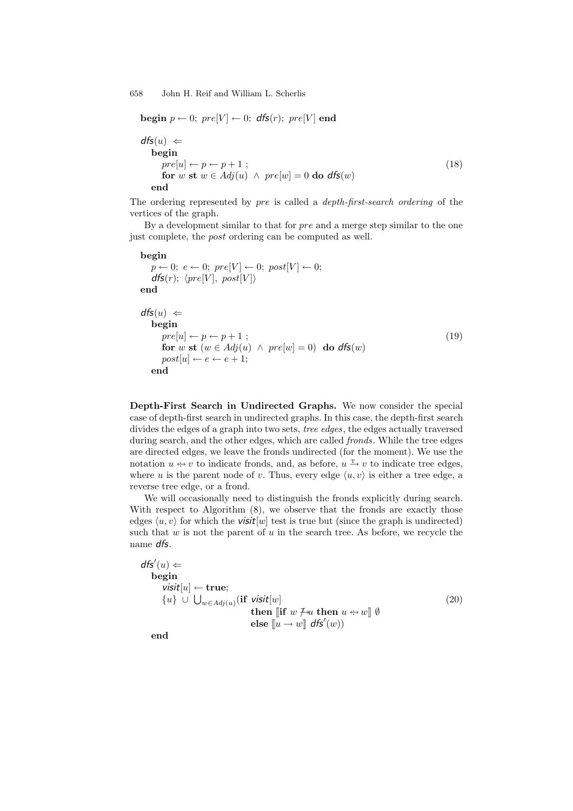```
begin p \leftarrow 0; pre[V] \leftarrow 0; dfs(r); pre[V] end
dfs(u) \Leftarrowbegin
    pre[u] \leftarrow p \leftarrow p + 1; (18)
    for w st w \in Adj(u) \land pre[w] = 0 do dfs(w)end
```
The ordering represented by pre is called a *depth-first-search ordering* of the vertices of the graph.

By a development similar to that for pre and a merge step similar to the one just complete, the post ordering can be computed as well.

# **begin**  $p \leftarrow 0; e \leftarrow 0; pre[V] \leftarrow 0; post[V] \leftarrow 0;$  $dfs(r); \; \langle pre[V], \; post[V] \rangle$ **end**  $dfs(u) \Leftarrow$ **begin**  $pre[u] \leftarrow p \leftarrow p + 1$ ; (19) **for** w **st**  $(w \in Adj(u) \land pre[w] = 0)$  **do**  $dfs(w)$  $post[u] \leftarrow e \leftarrow e + 1;$ **end**

**Depth-First Search in Undirected Graphs.** We now consider the special case of depth-first search in undirected graphs. In this case, the depth-first search divides the edges of a graph into two sets, *tree edges*, the edges actually traversed during search, and the other edges, which are called *fronds*. While the tree edges are directed edges, we leave the fronds undirected (for the moment). We use the notation  $u \leftrightarrow v$  to indicate fronds, and, as before,  $u \leftrightarrow v$  to indicate tree edges, where u is the parent node of v. Thus, every edge  $\langle u, v \rangle$  is either a tree edge, a reverse tree edge, or a frond.

We will occasionally need to distinguish the fronds explicitly during search. With respect to Algorithm  $(8)$ , we observe that the fronds are exactly those edges  $\langle u, v \rangle$  for which the **visit**[w] test is true but (since the graph is undirected) such that w is not the parent of u in the search tree. As before, we recycle the name *dfs*.

 $dfs'(u) \Leftarrow$ **begin** *visit*[u] ← **true**; {u} ∪  $\bigcup_{w \in Adj(u)} (\text{if } visit[w]$  (20)  $\textbf{then} \; \llbracket \textbf{if} \; w \not \sqsupseteq u \; \textbf{then} \; u \leftrightarrow w \rrbracket \; \emptyset$  $\mathbf{else}$   $\llbracket u \rightarrow w \rrbracket \mathbf{dfs}'(w)$ 

**end**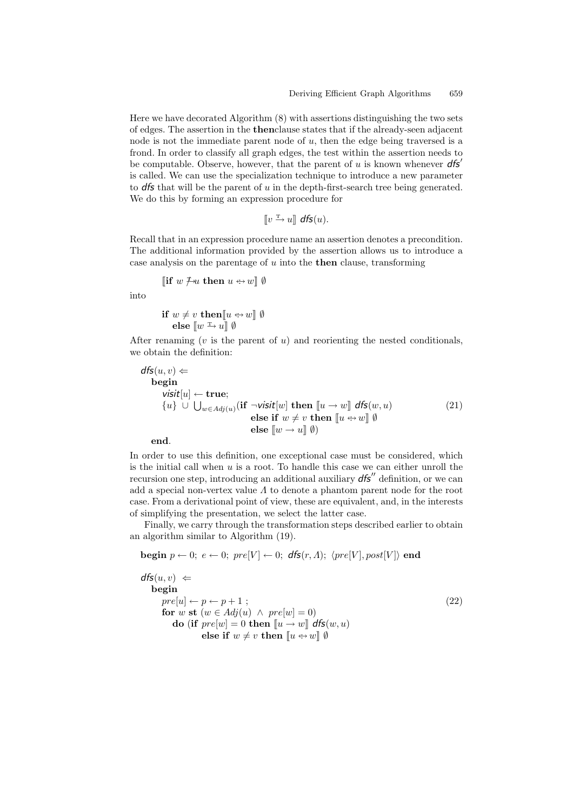Here we have decorated Algorithm (8) with assertions distinguishing the two sets of edges. The assertion in the **then**clause states that if the already-seen adjacent node is not the immediate parent node of  $u$ , then the edge being traversed is a frond. In order to classify all graph edges, the test within the assertion needs to be computable. Observe, however, that the parent of u is known whenever *dfs* is called. We can use the specialization technique to introduce a new parameter to *dfs* that will be the parent of u in the depth-first-search tree being generated. We do this by forming an expression procedure for

 $\llbracket v \xrightarrow{\text{T}} u \rrbracket \text{ dfs}(u).$ 

Recall that in an expression procedure name an assertion denotes a precondition. The additional information provided by the assertion allows us to introduce a case analysis on the parentage of u into the **then** clause, transforming

[if 
$$
w \neq u
$$
 then  $u \leftrightarrow w$ ]  $\emptyset$ 

into

$$
\begin{array}{c}\n\text{if } w \neq v \text{ then } [u \leftrightarrow w] \emptyset \\
\text{else } [w \xrightarrow{r} u] \emptyset\n\end{array}
$$

After renaming  $(v$  is the parent of  $u$ ) and reorienting the nested conditionals, we obtain the definition:

$$
dfs(u, v) \Leftarrow \nbegin\nbegin\nbegin i \nbegin\nbegin i \n i \n j \n j \n k \n i \n j \n j \n k \n j \n k \n j \n k \n k \n i \n j \n k \n i \n j \n k \n i \n j \n k \n i \n j \n k \n i \n j \n k \n i \n j \n k \n i \n j \n k \n i \n j \n k \n i \n j \n k \n i \n j \n k \n i \n j \n k \n i \n j \n k \n i \n k \n i \n j \n k \n i \n k \n i \n k \n i \n j \n k \n k \n i \n k \n i \n k \n i \n k \n i \n k \n i \n k \n i \n k \n i \n k \n i \n k \n i \n k \n i \n k \n i \n k \n i \n k \n i \n k \n i \n k \n i \n j \n k \n k \n k \n k \n k \n k \n k \n k \n k \n k \n k \n k \n k \n k \n k \n k \n k \n k \n k \n k \n k \n k \n k \n k \n k \n k \n k \n k
$$

**end**.

In order to use this definition, one exceptional case must be considered, which is the initial call when  $u$  is a root. To handle this case we can either unroll the recursion one step, introducing an additional auxiliary  $d\mathbf{f} s''$  definition, or we can add a special non-vertex value  $\Lambda$  to denote a phantom parent node for the root case. From a derivational point of view, these are equivalent, and, in the interests of simplifying the presentation, we select the latter case.

Finally, we carry through the transformation steps described earlier to obtain an algorithm similar to Algorithm (19).

$$
\textbf{begin } p \leftarrow 0; \ e \leftarrow 0; \ pre[V] \leftarrow 0; \ dfs(r, \Lambda); \ (pre[V], post[V]) \ end
$$

$$
dfs(u, v) \Leftarrow
$$
  
\nbegin  
\n
$$
pre[u] \leftarrow p \leftarrow p + 1 ;
$$
  
\n
$$
for w \text{ st } (w \in Adj(u) \land pre[w] = 0)
$$
  
\n
$$
do \text{ (if } pre[w] = 0 \text{ then } [u \rightarrow w] \text{ dfs}(w, u)
$$
  
\n
$$
else \text{ if } w \neq v \text{ then } [u \leftrightarrow w] \emptyset
$$
\n(22)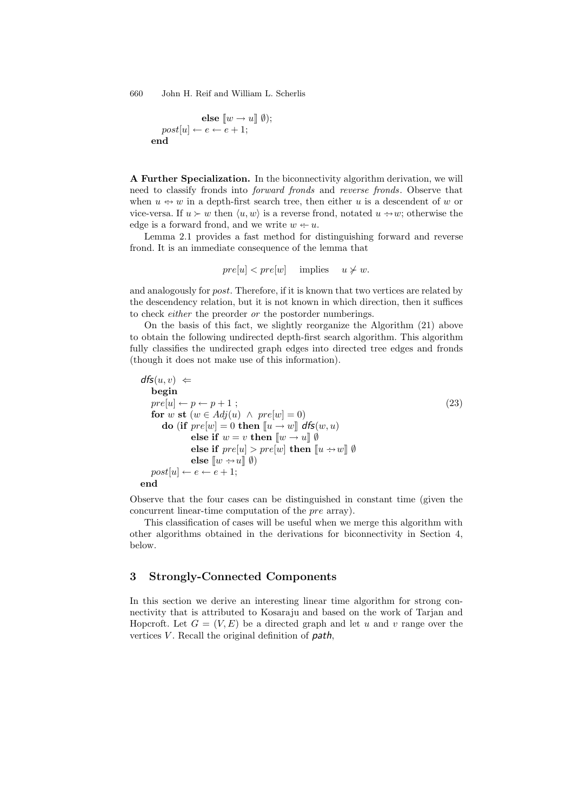$$
\mathbf{else} \ \llbracket w \to u \rrbracket \ \emptyset); \\ post[u] \leftarrow e \leftarrow e + 1; \\ \mathbf{end}
$$

**A Further Specialization.** In the biconnectivity algorithm derivation, we will need to classify fronds into *forward fronds* and *reverse fronds*. Observe that when  $u \leftrightarrow w$  in a depth-first search tree, then either u is a descendent of w or vice-versa. If  $u \succ w$  then  $\langle u, w \rangle$  is a reverse frond, notated  $u \rightarrow w$ ; otherwise the edge is a forward frond, and we write  $w \leftarrow u$ .

Lemma 2.1 provides a fast method for distinguishing forward and reverse frond. It is an immediate consequence of the lemma that

$$
pre[u] < pre[w] \quad \text{implies} \quad u \not\succ w.
$$

and analogously for post. Therefore, if it is known that two vertices are related by the descendency relation, but it is not known in which direction, then it suffices to check *either* the preorder *or* the postorder numberings.

On the basis of this fact, we slightly reorganize the Algorithm (21) above to obtain the following undirected depth-first search algorithm. This algorithm fully classifies the undirected graph edges into directed tree edges and fronds (though it does not make use of this information).

$$
ds(u, v) \Leftarrow
$$
  
\nbegin  
\n
$$
pre[u] \leftarrow p \leftarrow p + 1 ;
$$
  
\nfor w st (w \in Adj(u) \land pre[w] = 0)  
\ndo (if pre[w] = 0 then [u \rightarrow w] dfs(w, u)  
\nelse if w = v then [w \rightarrow u] \emptyset  
\nelse if pre[u] > pre[w] then [u \rightarrow w] \emptyset  
\nelse [w \rightarrow u] \emptyset)  
\npost[u] \leftarrow e \leftarrow e + 1;  
\nend  
\n\n(23)

Observe that the four cases can be distinguished in constant time (given the concurrent linear-time computation of the pre array).

This classification of cases will be useful when we merge this algorithm with other algorithms obtained in the derivations for biconnectivity in Section 4, below.

## **3 Strongly-Connected Components**

In this section we derive an interesting linear time algorithm for strong connectivity that is attributed to Kosaraju and based on the work of Tarjan and Hopcroft. Let  $G = (V, E)$  be a directed graph and let u and v range over the vertices V. Recall the original definition of *path*,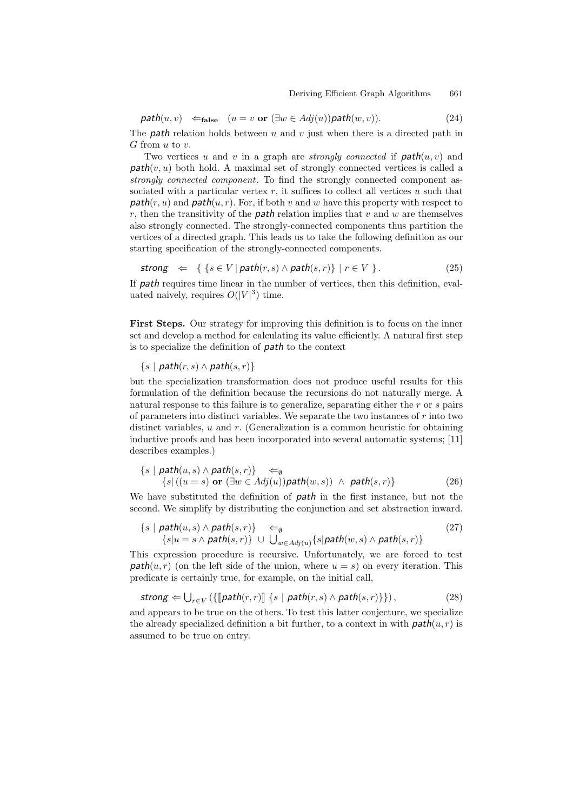$$
path(u, v) \leftarrow_{\text{false}} (u = v \text{ or } (\exists w \in Adj(u)) \text{path}(w, v)). \tag{24}
$$

The **path** relation holds between  $u$  and  $v$  just when there is a directed path in G from u to  $v$ .

Two vertices u and v in a graph are *strongly connected* if  $path(u, v)$  and  $path(v, u)$  both hold. A maximal set of strongly connected vertices is called a *strongly connected component*. To find the strongly connected component associated with a particular vertex  $r$ , it suffices to collect all vertices  $u$  such that  $path(r, u)$  and  $path(u, r)$ . For, if both v and w have this property with respect to r, then the transitivity of the *path* relation implies that v and w are themselves also strongly connected. The strongly-connected components thus partition the vertices of a directed graph. This leads us to take the following definition as our starting specification of the strongly-connected components.

$$
strong \Leftrightarrow \{ \{ s \in V \mid path(r, s) \land path(s, r) \} \mid r \in V \}.
$$
\n
$$
(25)
$$

If *path* requires time linear in the number of vertices, then this definition, evaluated naively, requires  $O(|V|^3)$  time.

**First Steps.** Our strategy for improving this definition is to focus on the inner set and develop a method for calculating its value efficiently. A natural first step is to specialize the definition of *path* to the context

 $\{s \mid \mathit{path}(r, s) \land \mathit{path}(s, r)\}$ 

but the specialization transformation does not produce useful results for this formulation of the definition because the recursions do not naturally merge. A natural response to this failure is to generalize, separating either the r or s pairs of parameters into distinct variables. We separate the two instances of  $r$  into two distinct variables,  $u$  and  $r$ . (Generalization is a common heuristic for obtaining inductive proofs and has been incorporated into several automatic systems; [11] describes examples.)

$$
\{s \mid \mathit{path}(u, s) \land \mathit{path}(s, r)\} \Leftarrow_{\emptyset} \{s \mid ((u = s) \text{ or } (\exists w \in Adj(u)) \mathit{path}(w, s)) \land \mathit{path}(s, r)\}
$$
\n(26)

We have substituted the definition of *path* in the first instance, but not the second. We simplify by distributing the conjunction and set abstraction inward.

$$
{s | path(u, s) \land path(s, r)} \Leftrightarrow (27)
$$
  

$$
{s | u = s \land path(s, r)} \cup \bigcup_{w \in Adj(u)} {s | path(w, s) \land path(s, r)} \tag{27}
$$

This expression procedure is recursive. Unfortunately, we are forced to test  $path(u, r)$  (on the left side of the union, where  $u = s$ ) on every iteration. This predicate is certainly true, for example, on the initial call,

$$
\textit{strong} \Leftarrow \bigcup_{r \in V} \left( \{ \llbracket \textit{path}(r,r) \rrbracket \} \{ s \mid \textit{path}(r,s) \land \textit{path}(s,r) \} \right),\tag{28}
$$

and appears to be true on the others. To test this latter conjecture, we specialize the already specialized definition a bit further, to a context in with  $path(u, r)$  is assumed to be true on entry.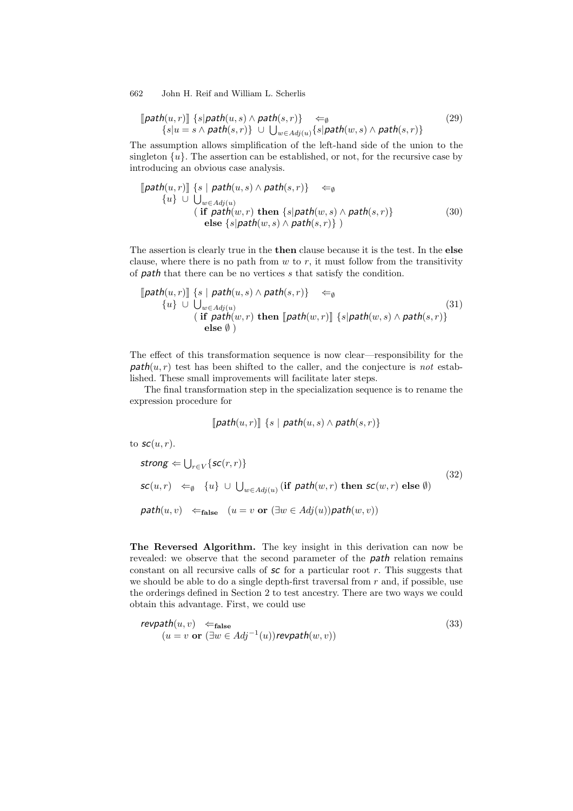$$
\begin{aligned} \llbracket \mathit{path}(u,r) \rrbracket \{ s | \mathit{path}(u,s) \land \mathit{path}(s,r) \} &\Leftarrow_{\emptyset} \\ \{ s | u = s \land \mathit{path}(s,r) \} &\cup \bigcup_{w \in Adj(u)} \{ s | \mathit{path}(w,s) \land \mathit{path}(s,r) \} \end{aligned} \tag{29}
$$

The assumption allows simplification of the left-hand side of the union to the singleton  $\{u\}$ . The assertion can be established, or not, for the recursive case by introducing an obvious case analysis.

$$
\begin{array}{ll}\n[\text{path}(u,r)] \{s \mid \text{path}(u,s) \land \text{path}(s,r)\} & \Leftarrow_{\emptyset} \\
\{u\} \cup \bigcup_{w \in Adj(u)} \\
(\text{if } \text{path}(w,r) \text{ then } \{s | \text{path}(w,s) \land \text{path}(s,r)\} \\
\text{else } \{s | \text{path}(w,s) \land \text{path}(s,r)\}\n\end{array} \tag{30}
$$

The assertion is clearly true in the **then** clause because it is the test. In the **else** clause, where there is no path from  $w$  to  $r$ , it must follow from the transitivity of *path* that there can be no vertices s that satisfy the condition.

$$
\begin{array}{ll}\n\text{[path}(u,r)] \{s \mid \mathit{path}(u,s) \land \mathit{path}(s,r)\} & \Leftarrow_{\emptyset} \\
\{u\} \cup \bigcup_{w \in Adj(u)} (if \mathit{path}(w,r) \mathit{then} [\mathit{path}(w,r)] \{s | \mathit{path}(w,s) \land \mathit{path}(s,r)\} \\
\text{else } \emptyset\n\end{array} \tag{31}
$$

The effect of this transformation sequence is now clear—responsibility for the  $path(u, r)$  test has been shifted to the caller, and the conjecture is *not* established. These small improvements will facilitate later steps.

The final transformation step in the specialization sequence is to rename the expression procedure for

$$
[path(u,r)] [s | path(u,s) \wedge path(s,r)]
$$

to  $\mathsf{sc}(u,r)$ .

strong 
$$
\Leftarrow \bigcup_{r \in V} \{ \mathsf{sc}(r,r) \}
$$
  
\n $\mathsf{sc}(u,r) \Leftarrow_{\emptyset} \{u\} \cup \bigcup_{w \in Adj(u)} (\text{if } \mathsf{path}(w,r) \text{ then } \mathsf{sc}(w,r) \text{ else } \emptyset)$   
\n $\mathsf{path}(u,v) \Leftarrow_{\text{false}} (u = v \text{ or } (\exists w \in Adj(u)) \mathsf{path}(w,v))$  (32)

**The Reversed Algorithm.** The key insight in this derivation can now be revealed: we observe that the second parameter of the *path* relation remains constant on all recursive calls of *sc* for a particular root r. This suggests that we should be able to do a single depth-first traversal from  $r$  and, if possible, use the orderings defined in Section 2 to test ancestry. There are two ways we could obtain this advantage. First, we could use

$$
\begin{array}{ll}\n\mathit{revpath}(u, v) & \Leftarrow_{\text{false}} \\
(u = v \text{ or } (\exists w \in Adj^{-1}(u)) \mathit{revpath}(w, v))\n\end{array} \tag{33}
$$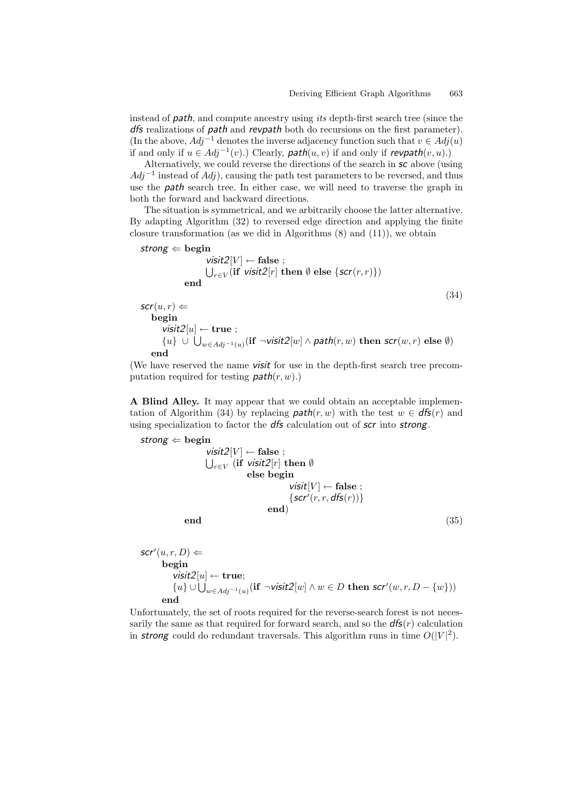instead of *path*, and compute ancestry using *its* depth-first search tree (since the *dfs* realizations of *path* and *revpath* both do recursions on the first parameter). (In the above,  $Adj^{-1}$  denotes the inverse adjacency function such that  $v \in Adj(u)$ if and only if u ∈ Adj−1(v).) Clearly, *path*(u, v) if and only if *revpath*(v, u).)

Alternatively, we could reverse the directions of the search in *sc* above (using  $Adi^{-1}$  instead of  $Adi$ ), causing the path test parameters to be reversed, and thus use the *path* search tree. In either case, we will need to traverse the graph in both the forward and backward directions.

The situation is symmetrical, and we arbitrarily choose the latter alternative. By adapting Algorithm (32) to reversed edge direction and applying the finite closure transformation (as we did in Algorithms (8) and (11)), we obtain

strong 
$$
\Leftarrow
$$
 begin  
\n
$$
\text{visit2}[V] \leftarrow \text{false};
$$
\n
$$
\bigcup_{r \in V} (\text{if } \text{visit2}[r] \text{ then } \emptyset \text{ else } \{\text{scr}(r,r)\})
$$
\nend (34)

 $scr(u,r) \Leftarrow$ **begin** *visit2*[u] ← **true** ; {u} ∪ <sup>w</sup>∈Adj*−*1(u)(**if** <sup>¬</sup>*visit2*[w] <sup>∧</sup> *path*(r, w) **then** *scr*(w, r) **else** <sup>∅</sup>) **end**

(We have reserved the name *visit* for use in the depth-first search tree precomputation required for testing  $path(r, w)$ .)

**A Blind Alley.** It may appear that we could obtain an acceptable implementation of Algorithm (34) by replacing  $path(r, w)$  with the test  $w \in dfs(r)$  and using specialization to factor the *dfs* calculation out of *scr* into *strong*.

\n
$$
\text{strong} \leftarrow \text{begin}
$$
\n $\text{visit2}[V] \leftarrow \text{false};$ \n

\n\n $\bigcup_{r \in V} (\text{if } \text{visit2}[r] \text{ then } \emptyset)$ \n

\n\n $\text{else begin}$ \n

\n\n $\text{visit}[V] \leftarrow \text{false};$ \n

\n\n $\{\text{scr}'(r, r, \text{dfs}(r))\}$ \n

\n\n $\text{end}$ \n

\n\n end\n

$$
scr'(u,r,D) \Leftarrow
$$
  
begin  
begin
$$
visit2[u] \leftarrow true;
$$
  

$$
\{u\} \cup \bigcup_{w \in Adj^{-1}(u)} (\text{if } \neg \text{visit2}[w] \land w \in D \text{ then } scr'(w,r,D - \{w\}))
$$
  
end

Unfortunately, the set of roots required for the reverse-search forest is not necessarily the same as that required for forward search, and so the  $dfs(r)$  calculation in **strong** could do redundant traversals. This algorithm runs in time  $O(|V|^2)$ .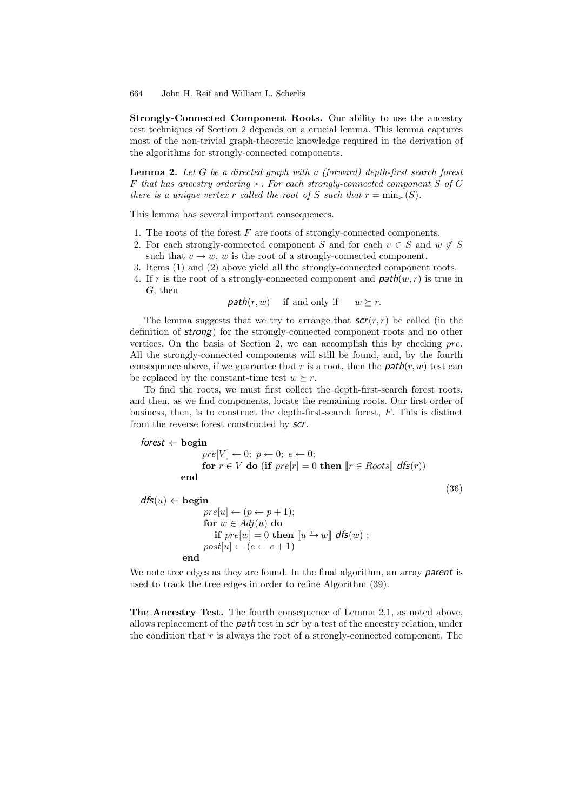**Strongly-Connected Component Roots.** Our ability to use the ancestry test techniques of Section 2 depends on a crucial lemma. This lemma captures most of the non-trivial graph-theoretic knowledge required in the derivation of the algorithms for strongly-connected components.

**Lemma 2.** *Let* G *be a directed graph with a (forward) depth-first search forest* F that has ancestry ordering  $\succ$ . For each strongly-connected component S of G *there is a unique vertex* r *called the root of* S *such that*  $r = \min_{\succ}(S)$ *.* 

This lemma has several important consequences.

- 1. The roots of the forest  $F$  are roots of strongly-connected components.
- 2. For each strongly-connected component S and for each  $v \in S$  and  $w \notin S$ such that  $v \to w$ , w is the root of a strongly-connected component.
- 3. Items (1) and (2) above yield all the strongly-connected component roots.
- 4. If r is the root of a strongly-connected component and  $path(w, r)$  is true in G, then

*path* $(r, w)$  if and only if  $w \succeq r$ .

The lemma suggests that we try to arrange that  $scr(r,r)$  be called (in the definition of *strong*) for the strongly-connected component roots and no other vertices. On the basis of Section 2, we can accomplish this by checking pre. All the strongly-connected components will still be found, and, by the fourth consequence above, if we guarantee that r is a root, then the  $path(r, w)$  test can be replaced by the constant-time test  $w \succeq r$ .

To find the roots, we must first collect the depth-first-search forest roots, and then, as we find components, locate the remaining roots. Our first order of business, then, is to construct the depth-first-search forest, F. This is distinct from the reverse forest constructed by *scr*.

```
forest \Leftarrow begin
                   pre[V] \leftarrow 0; p \leftarrow 0; e \leftarrow 0;
                   for r \in V do (if pre[r] = 0 then [r \in Roots] dfs(r))
            end
                                                                                                 (36)
```

```
dfs(u) \Leftarrowbegin
                        pre[u] \leftarrow (p \leftarrow p + 1);for w \in Adj(u) do
                            if pre[w] = 0 then \llbracket u \xrightarrow{\text{T}} w \rrbracket dfs(w);
                        post[u] \leftarrow (e \leftarrow e + 1)end
```
We note tree edges as they are found. In the final algorithm, an array *parent* is used to track the tree edges in order to refine Algorithm (39).

**The Ancestry Test.** The fourth consequence of Lemma 2.1, as noted above, allows replacement of the *path* test in *scr* by a test of the ancestry relation, under the condition that  $r$  is always the root of a strongly-connected component. The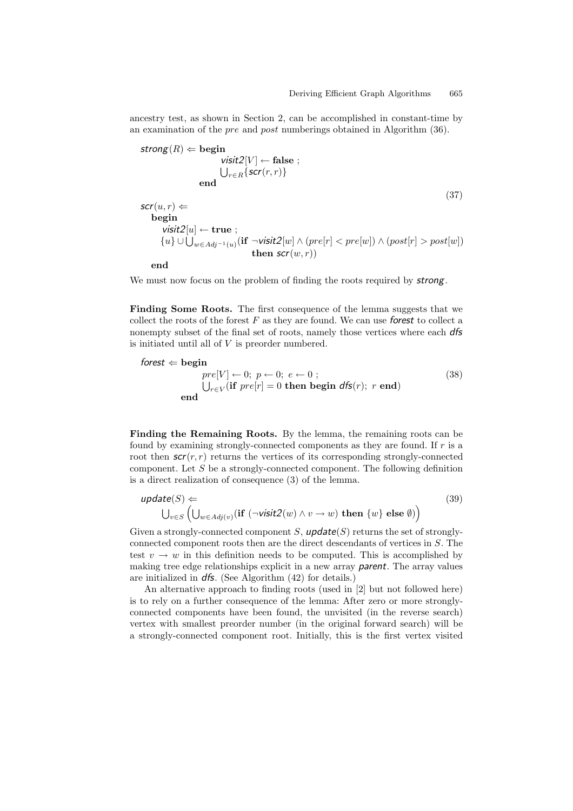ancestry test, as shown in Section 2, can be accomplished in constant-time by an examination of the pre and post numberings obtained in Algorithm (36).

$$
\text{strong}(R) \Leftarrow \text{begin} \text{visit2}[V] \leftarrow \text{false} \; ;
$$
\n
$$
\bigcup_{r \in R} \{ \text{scr}(r, r) \}
$$
\n
$$
\text{end} \tag{37}
$$
\n
$$
\text{scr}(u, r) \Leftarrow
$$
\n
$$
\text{begin} \text{visit2}[u] \leftarrow \text{true} \; ;
$$
\n
$$
\{u\} \cup \bigcup_{w \in Adj^{-1}(u)} (\text{if } \neg \text{visit2}[w] \land (pre[r] < pre[w]) \land (post[r] > post[w])
$$
\n
$$
\text{then } \text{scr}(w, r))
$$

**end**

We must now focus on the problem of finding the roots required by *strong*.

**Finding Some Roots.** The first consequence of the lemma suggests that we collect the roots of the forest F as they are found. We can use *forest* to collect a nonempty subset of the final set of roots, namely those vertices where each *dfs* is initiated until all of  $V$  is preorder numbered.

$$
\text{forest} \Leftarrow \text{begin}\n pre[V] \leftarrow 0; \ p \leftarrow 0; \ e \leftarrow 0 ; \\
 \bigcup_{r \in V} (\text{if } pre[r] = 0 \text{ then begin } d\text{fs}(r); \ r \text{ end})\n \tag{38}\n \end{cases}
$$

**Finding the Remaining Roots.** By the lemma, the remaining roots can be found by examining strongly-connected components as they are found. If r is a root then  $scr(r,r)$  returns the vertices of its corresponding strongly-connected component. Let  $S$  be a strongly-connected component. The following definition is a direct realization of consequence (3) of the lemma.

$$
\text{update}(S) \Leftarrow
$$
\n
$$
\bigcup_{v \in S} \left( \bigcup_{w \in Adj(v)} (\text{if } (\neg \text{visit2}(w) \land v \to w) \text{ then } \{w\} \text{ else } \emptyset) \right)
$$
\n
$$
(39)
$$

Given a strongly-connected component  $S$ ,  $\mathsf{update}(S)$  returns the set of stronglyconnected component roots then are the direct descendants of vertices in S. The test  $v \to w$  in this definition needs to be computed. This is accomplished by making tree edge relationships explicit in a new array *parent*. The array values are initialized in *dfs*. (See Algorithm (42) for details.)

An alternative approach to finding roots (used in [2] but not followed here) is to rely on a further consequence of the lemma: After zero or more stronglyconnected components have been found, the unvisited (in the reverse search) vertex with smallest preorder number (in the original forward search) will be a strongly-connected component root. Initially, this is the first vertex visited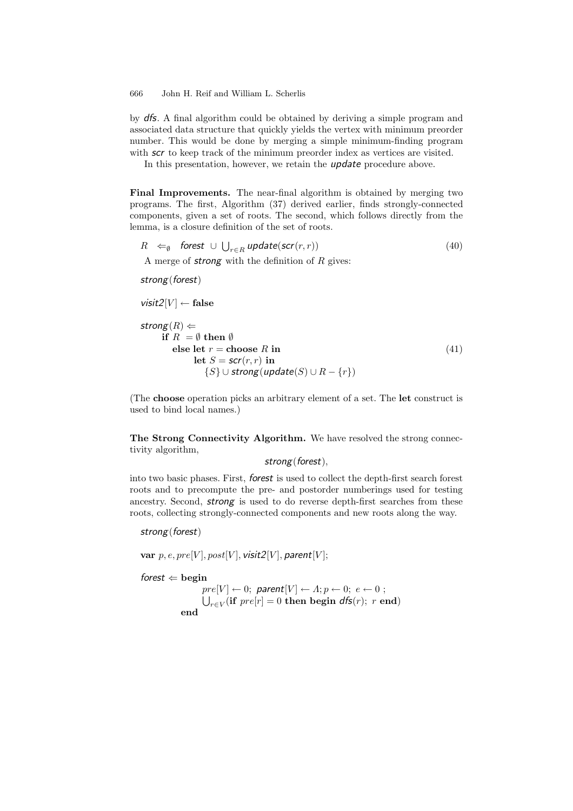by *dfs*. A final algorithm could be obtained by deriving a simple program and associated data structure that quickly yields the vertex with minimum preorder number. This would be done by merging a simple minimum-finding program with **scr** to keep track of the minimum preorder index as vertices are visited.

In this presentation, however, we retain the *update* procedure above.

**Final Improvements.** The near-final algorithm is obtained by merging two programs. The first, Algorithm (37) derived earlier, finds strongly-connected components, given a set of roots. The second, which follows directly from the lemma, is a closure definition of the set of roots.

$$
R \Leftarrow_{\emptyset} \text{forest} \cup \bigcup_{r \in R} \text{update}(\text{scr}(r, r)) \tag{40}
$$

A merge of *strong* with the definition of R gives:

*strong*(*forest*)

 $visit2[V] \leftarrow false$ 

```
\n
$$
\begin{aligned}\n\text{strong}(R) &\Leftarrow \\
\text{if } R = \emptyset \text{ then } \emptyset \\
\text{else let } r = \text{choose } R \text{ in} \\
\text{let } S = \text{scr}(r, r) \text{ in} \\
\{S\} \cup \text{strong}(\text{update}(S) \cup R - \{r\})\n\end{aligned} \tag{41}
$$
\n
```

(The **choose** operation picks an arbitrary element of a set. The **let** construct is used to bind local names.)

**The Strong Connectivity Algorithm.** We have resolved the strong connectivity algorithm,

*strong*(*forest*),

into two basic phases. First, *forest* is used to collect the depth-first search forest roots and to precompute the pre- and postorder numberings used for testing ancestry. Second, *strong* is used to do reverse depth-first searches from these roots, collecting strongly-connected components and new roots along the way.

*strong*(*forest*)

 $var p, e, pre[V], post[V], visit2[V], parent[V];$ 

*forest*  $\Leftarrow$  **begin** 

 $pre[V] \leftarrow 0;$  parent $[V] \leftarrow A; p \leftarrow 0; e \leftarrow 0;$  $\bigcup_{r \in V} (\textbf{if } pre[r] = 0 \textbf{ then } \textbf{begin } d\textbf{f}(r); r \textbf{ end})$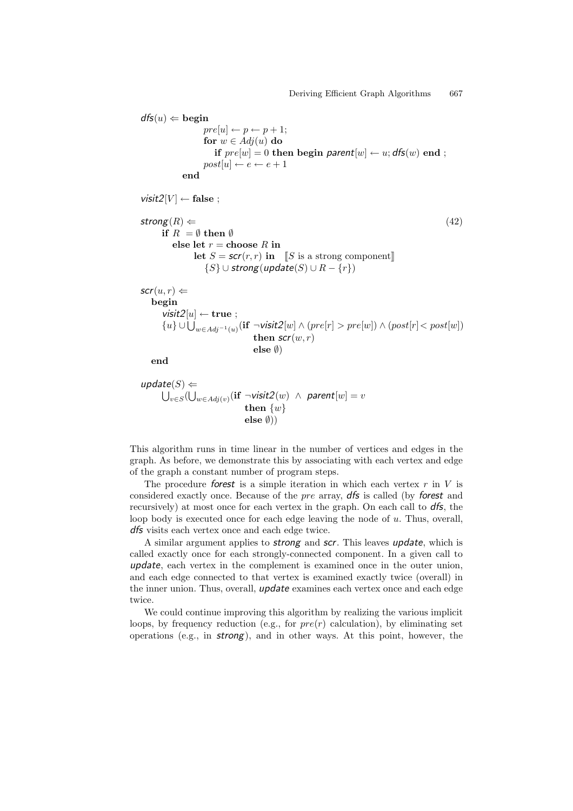```
dfs(u) \Leftarrowbegin
                pre[u] \leftarrow p \leftarrow p + 1;for w \in Adj(u) do
                   if pre[w] = 0 then begin parent[w] \leftarrow u; dfs(w) end ;
                post[u] \leftarrow e \leftarrow e + 1end
visit2[V] \leftarrow false;
\mathsf{strong}(R) \Leftarrow (42)
     if R = \emptyset then \emptysetelse let r =choose R in
             let S = \mathsf{scr}(r, r) in [S is a strong component]
                {S} \cup strong(update(S) \cup R - {r})
scr(u,r) \Leftarrowbegin
     visit2[u] \leftarrow true;{u} ∪ 
w∈Adj−1(u)(if ¬visit2[w] ∧ (pre[r] > pre[w]) ∧ (post[r]< post[w])
                             then scr(w,r)else ∅)
   end
```

$$
\begin{array}{ll}\n\text{update}(S) & \Leftarrow \\
\bigcup_{v \in S} (\bigcup_{w \in Adj(v)} (\text{if } \neg \text{visit2}(w) \ \land \ \text{parent}[w] = v \\
 &\text{then } \{w\} \\
 &\text{else } \emptyset\n) \end{array}
$$

This algorithm runs in time linear in the number of vertices and edges in the graph. As before, we demonstrate this by associating with each vertex and edge of the graph a constant number of program steps.

The procedure *forest* is a simple iteration in which each vertex r in V is considered exactly once. Because of the pre array, *dfs* is called (by *forest* and recursively) at most once for each vertex in the graph. On each call to *dfs*, the loop body is executed once for each edge leaving the node of u. Thus, overall, *dfs* visits each vertex once and each edge twice.

A similar argument applies to *strong* and *scr*. This leaves *update*, which is called exactly once for each strongly-connected component. In a given call to *update*, each vertex in the complement is examined once in the outer union, and each edge connected to that vertex is examined exactly twice (overall) in the inner union. Thus, overall, *update* examines each vertex once and each edge twice.

We could continue improving this algorithm by realizing the various implicit loops, by frequency reduction (e.g., for  $pre(r)$  calculation), by eliminating set operations (e.g., in *strong*), and in other ways. At this point, however, the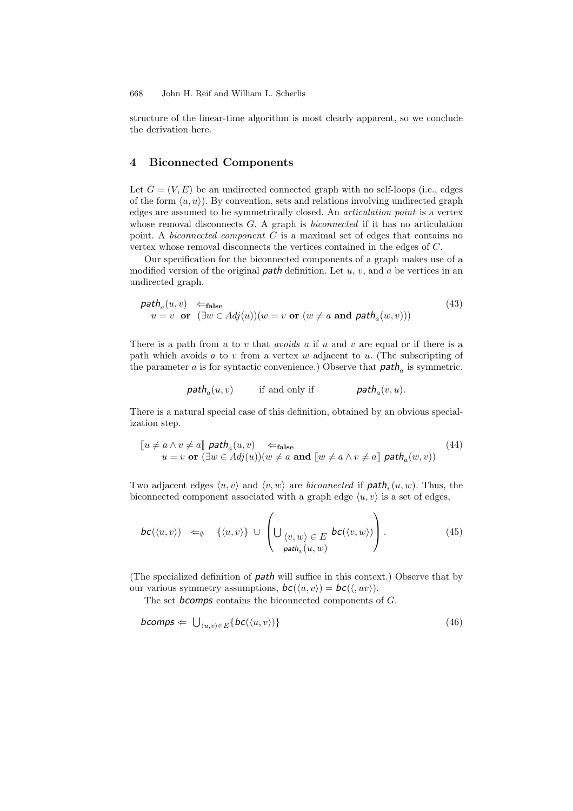structure of the linear-time algorithm is most clearly apparent, so we conclude the derivation here.

## **4 Biconnected Components**

Let  $G = (V, E)$  be an undirected connected graph with no self-loops (i.e., edges of the form  $\langle u, u \rangle$ ). By convention, sets and relations involving undirected graph edges are assumed to be symmetrically closed. An *articulation point* is a vertex whose removal disconnects G. A graph is *biconnected* if it has no articulation point. A *biconnected component* C is a maximal set of edges that contains no vertex whose removal disconnects the vertices contained in the edges of C.

Our specification for the biconnected components of a graph makes use of a modified version of the original *path* definition. Let u, v, and a be vertices in an undirected graph.

$$
\mathit{path}_a(u, v) \Leftarrow_{\mathbf{false}} \text{false} \tag{43}
$$
\n
$$
u = v \quad \text{or} \quad (\exists w \in Adj(u))(w = v \text{ or } (w \neq a \text{ and } \mathit{path}_a(w, v))) \tag{43}
$$

There is a path from u to v that *avoids* a if u and v are equal or if there is a path which avoids a to v from a vertex w adjacent to u. (The subscripting of the parameter a is for syntactic convenience.) Observe that  $path_a$  is symmetric.

$$
\mathit{path}_a(u, v)
$$
 if and only if  $\mathit{path}_a(v, u)$ .

There is a natural special case of this definition, obtained by an obvious specialization step.

$$
\begin{aligned}\n\llbracket u \neq a \land v \neq a \rrbracket \text{ path}_{a}(u, v) &\Leftarrow_{\text{false}} \\
u = v \text{ or } (\exists w \in Adj(u))(w \neq a \text{ and } \llbracket w \neq a \land v \neq a \rrbracket \text{ path}_{a}(w, v))\n\end{aligned} \tag{44}
$$

Two adjacent edges  $\langle u, v \rangle$  and  $\langle v, w \rangle$  are *biconnected* if  $\text{path}_v(u, w)$ . Thus, the biconnected component associated with a graph edge  $\langle u, v \rangle$  is a set of edges,

$$
bc(\langle u, v \rangle) \Leftrightarrow \{ \langle u, v \rangle \} \cup \left( \bigcup_{\substack{\langle v, w \rangle \in E \\ \text{path}_v(u, w)}} bc(\langle v, w \rangle) \right). \tag{45}
$$

(The specialized definition of *path* will suffice in this context.) Observe that by our various symmetry assumptions,  $bc(\langle u, v \rangle) = bc(\langle, uv \rangle)$ .

The set *bcomps* contains the biconnected components of G.

$$
bcomps \Leftarrow \bigcup_{\langle u,v \rangle \in E} \{bc(\langle u,v \rangle)\}\tag{46}
$$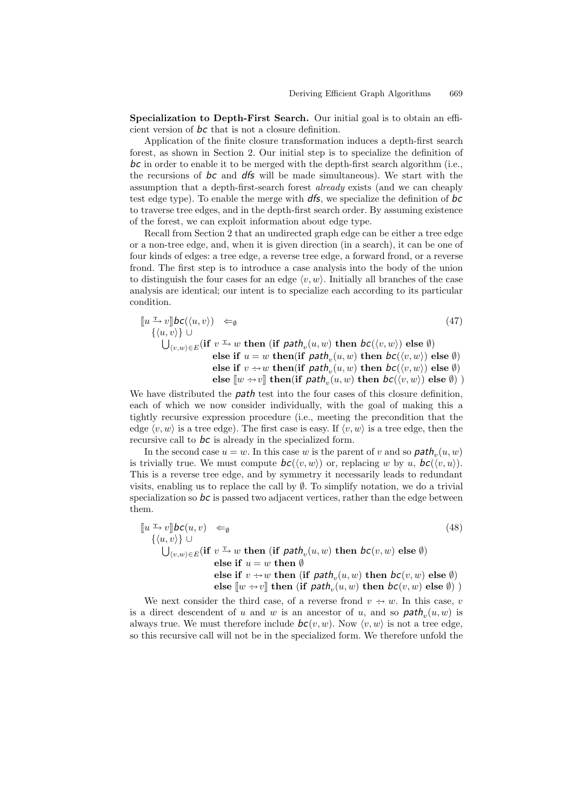**Specialization to Depth-First Search.** Our initial goal is to obtain an efficient version of *bc* that is not a closure definition.

Application of the finite closure transformation induces a depth-first search forest, as shown in Section 2. Our initial step is to specialize the definition of *bc* in order to enable it to be merged with the depth-first search algorithm (i.e., the recursions of *bc* and *dfs* will be made simultaneous). We start with the assumption that a depth-first-search forest *already* exists (and we can cheaply test edge type). To enable the merge with *dfs*, we specialize the definition of *bc* to traverse tree edges, and in the depth-first search order. By assuming existence of the forest, we can exploit information about edge type.

Recall from Section 2 that an undirected graph edge can be either a tree edge or a non-tree edge, and, when it is given direction (in a search), it can be one of four kinds of edges: a tree edge, a reverse tree edge, a forward frond, or a reverse frond. The first step is to introduce a case analysis into the body of the union to distinguish the four cases for an edge  $\langle v, w \rangle$ . Initially all branches of the case analysis are identical; our intent is to specialize each according to its particular condition.

$$
\begin{array}{ll}\n\left[\!\!\begin{array}{c} u \xrightarrow{\Gamma} v \Vert \mathbf{bc}(\langle u, v \rangle) & \Leftarrow_{\emptyset} \\
\{\langle u, v \rangle\} \cup & \downarrow \\
\bigcup_{\langle v, w \rangle \in E} (\text{if } v \xrightarrow{\Gamma} w \text{ then } (\text{if } \mathsf{path}_v(u, w) \text{ then } \mathsf{bc}(\langle v, w \rangle) \text{ else } \emptyset) \\
& \text{else if } u = w \text{ then} (\text{if } \mathsf{path}_v(u, w) \text{ then } \mathsf{bc}(\langle v, w \rangle) \text{ else } \emptyset) \\
& \text{else if } v \xrightarrow{\cdots} w \text{ then} (\text{if } \mathsf{path}_v(u, w) \text{ then } \mathsf{bc}(\langle v, w \rangle) \text{ else } \emptyset) \\
& \text{else } \llbracket w \xrightarrow{\cdots} v \rrbracket \text{ then} (\text{if } \mathsf{path}_v(u, w) \text{ then } \mathsf{bc}(\langle v, w \rangle) \text{ else } \emptyset)\n\end{array}\right)\n\end{array} \tag{47}
$$

We have distributed the *path* test into the four cases of this closure definition, each of which we now consider individually, with the goal of making this a tightly recursive expression procedure (i.e., meeting the precondition that the edge  $\langle v, w \rangle$  is a tree edge). The first case is easy. If  $\langle v, w \rangle$  is a tree edge, then the recursive call to *bc* is already in the specialized form.

In the second case  $u = w$ . In this case w is the parent of v and so  $\mathit{path}_n(u, w)$ is trivially true. We must compute  $bc(\langle v, w \rangle)$  or, replacing w by u,  $bc(\langle v, u \rangle)$ . This is a reverse tree edge, and by symmetry it necessarily leads to redundant visits, enabling us to replace the call by  $\emptyset$ . To simplify notation, we do a trivial specialization so *bc* is passed two adjacent vertices, rather than the edge between them.

$$
\begin{array}{ll}\n\left[u \xrightarrow{v} v\right] bc(u, v) & \Leftarrow_{\emptyset} & (48) \\
\left\{\langle u, v \rangle\right\} \cup & \bigcup_{(v, w) \in E} (\text{if } v \xrightarrow{v} w \text{ then } (\text{if } \text{path}_v(u, w) \text{ then } bc(v, w) \text{ else } \emptyset) \\
& \text{else if } u = w \text{ then } \emptyset \\
& \text{else if } v \xrightarrow{v} w \text{ then } (\text{if } \text{path}_v(u, w) \text{ then } bc(v, w) \text{ else } \emptyset) \\
& \text{else } \llbracket w \xrightarrow{v} v \rrbracket \text{ then } (\text{if } \text{path}_v(u, w) \text{ then } bc(v, w) \text{ else } \emptyset)\n\end{array}
$$
\n
$$
(48)
$$

We next consider the third case, of a reverse frond  $v \rightarrow w$ . In this case, v is a direct descendent of u and w is an ancestor of u, and so  $path_v(u, w)$  is always true. We must therefore include  $bc(v, w)$ . Now  $\langle v, w \rangle$  is not a tree edge, so this recursive call will not be in the specialized form. We therefore unfold the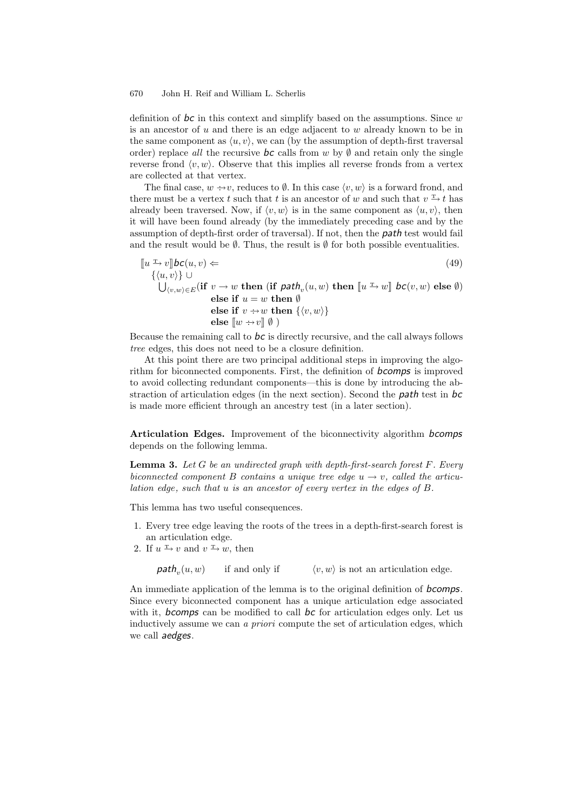definition of *bc* in this context and simplify based on the assumptions. Since w is an ancestor of u and there is an edge adjacent to w already known to be in the same component as  $\langle u, v \rangle$ , we can (by the assumption of depth-first traversal order) replace *all* the recursive  $\boldsymbol{bc}$  calls from w by  $\emptyset$  and retain only the single reverse frond  $\langle v, w \rangle$ . Observe that this implies all reverse fronds from a vertex are collected at that vertex.

The final case,  $w \rightarrow v$ , reduces to  $\emptyset$ . In this case  $\langle v, w \rangle$  is a forward frond, and there must be a vertex t such that t is an ancestor of w and such that  $v \to t$  has already been traversed. Now, if  $\langle v, w \rangle$  is in the same component as  $\langle u, v \rangle$ , then it will have been found already (by the immediately preceding case and by the assumption of depth-first order of traversal). If not, then the *path* test would fail and the result would be  $\emptyset$ . Thus, the result is  $\emptyset$  for both possible eventualities.

$$
\begin{aligned}\n\llbracket u \xrightarrow{\mathbf{r}} v \rrbracket \mathbf{b} \mathbf{c}(u, v) &\Leftarrow & (49) \\
\quad \{ \langle u, v \rangle \} \cup & \qquad \qquad \text{then } (\text{if } \mathbf{path}_v(u, w) \text{ then } \llbracket u \xrightarrow{\mathbf{r}} w \rrbracket \mathbf{ b} \mathbf{c}(v, w) \text{ else } \emptyset) \\
& \qquad \qquad \text{else if } u = w \text{ then } \emptyset \\
& \qquad \qquad \text{else if } v \xrightarrow{\mathbf{r}} w \text{ then } \{ \langle v, w \rangle \} \\
& \qquad \qquad \text{else } \llbracket w \xrightarrow{\mathbf{r}} v \rrbracket \emptyset \n\end{aligned}\n\tag{49}
$$

Because the remaining call to *bc* is directly recursive, and the call always follows *tree* edges, this does not need to be a closure definition.

At this point there are two principal additional steps in improving the algorithm for biconnected components. First, the definition of *bcomps* is improved to avoid collecting redundant components—this is done by introducing the abstraction of articulation edges (in the next section). Second the *path* test in *bc* is made more efficient through an ancestry test (in a later section).

**Articulation Edges.** Improvement of the biconnectivity algorithm *bcomps* depends on the following lemma.

**Lemma 3.** *Let* G *be an undirected graph with depth-first-search forest* F*. Every biconnected component* B *contains a unique tree edge*  $u \rightarrow v$ *, called the articulation edge, such that* u *is an ancestor of every vertex in the edges of* B*.*

This lemma has two useful consequences.

- 1. Every tree edge leaving the roots of the trees in a depth-first-search forest is an articulation edge.
- 2. If  $u \to v$  and  $v \to w$ , then

 $path_n(u, w)$  if and only if  $\langle v, w \rangle$  is not an articulation edge.

An immediate application of the lemma is to the original definition of *bcomps*. Since every biconnected component has a unique articulation edge associated with it, *bcomps* can be modified to call *bc* for articulation edges only. Let us inductively assume we can *a priori* compute the set of articulation edges, which we call *aedges*.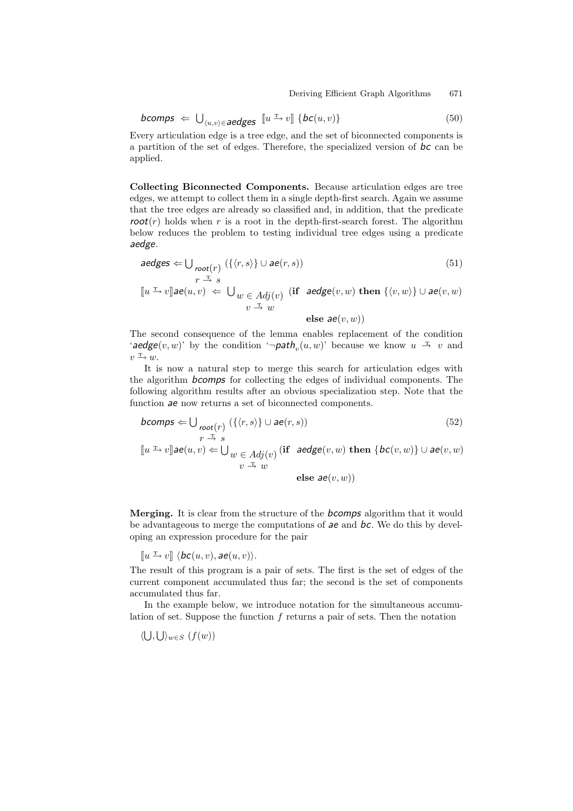$$
\text{bcomps} \Leftarrow \bigcup_{\langle u,v \rangle \in \text{aedges}} [u \xrightarrow{v} v] \{ \text{bc}(u,v) \} \tag{50}
$$

Every articulation edge is a tree edge, and the set of biconnected components is a partition of the set of edges. Therefore, the specialized version of *bc* can be applied.

**Collecting Biconnected Components.** Because articulation edges are tree edges, we attempt to collect them in a single depth-first search. Again we assume that the tree edges are already so classified and, in addition, that the predicate  $root(r)$  holds when r is a root in the depth-first-search forest. The algorithm below reduces the problem to testing individual tree edges using a predicate *aedge*.

$$
aedges \Leftarrow \bigcup_{root(r)} (\{\langle r, s \rangle\} \cup ae(r, s))
$$
\n
$$
r \stackrel{\pi}{\rightarrow} s
$$
\n
$$
(51)
$$

 $\llbracket u \xrightarrow{\text{r}} v \rrbracket$ *ae* $(u, v) \Leftarrow \bigcup_{w \in Adj(v)}$  (if  $\text{aedeg} (v, w)$  then  $\{\langle v, w \rangle\} \cup$   $\text{ae}(v, w)$  $v \stackrel{\text{T}}{\rightarrow} w$ 

**else** *ae*(v, w))

The second consequence of the lemma enables replacement of the condition '*aedge*(v, w)' by the condition ' $\neg$ *path*<sub>n</sub>(u, w)' because we know  $u \stackrel{\text{T}}{\rightarrow} v$  and  $v \xrightarrow{\mathrm{T}} w$ .

It is now a natural step to merge this search for articulation edges with the algorithm *bcomps* for collecting the edges of individual components. The following algorithm results after an obvious specialization step. Note that the function *ae* now returns a set of biconnected components.

$$
bcomps \Leftarrow \bigcup_{root(r)} (\{\langle r, s \rangle\} \cup ae(r, s))
$$
  
\n
$$
r \stackrel{\text{T}}{\rightarrow} s
$$
  
\n
$$
[u \stackrel{\text{T}}{\rightarrow} v] \stackrel{\text{T}}{\rightarrow} e(u, v) \Leftarrow \bigcup_{w \in Adj(v)} (\text{if } aedge(v, w) \text{ then } \{bc(v, w)\} \cup ae(v, w)
$$
  
\n
$$
v \stackrel{\text{T}}{\rightarrow} w
$$
\n
$$
(52)
$$

**else** *ae*(v, w))

**Merging.** It is clear from the structure of the *bcomps* algorithm that it would be advantageous to merge the computations of *ae* and *bc*. We do this by developing an expression procedure for the pair

 $\llbracket u \xrightarrow{\text{r}} v \rrbracket \langle bc(u, v), \text{ae}(u, v) \rangle.$ 

The result of this program is a pair of sets. The first is the set of edges of the current component accumulated thus far; the second is the set of components accumulated thus far.

In the example below, we introduce notation for the simultaneous accumulation of set. Suppose the function  $f$  returns a pair of sets. Then the notation

 $\langle \bigcup, \bigcup \rangle_{w \in S}$   $(f(w))$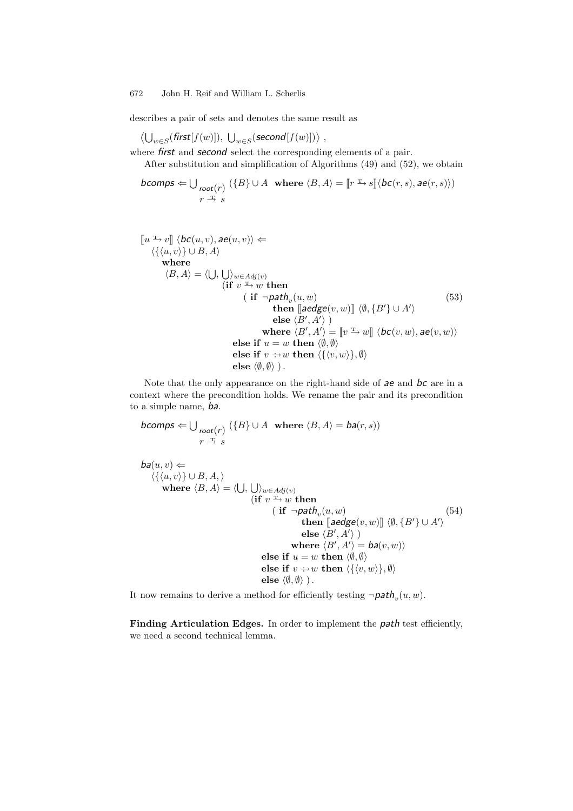describes a pair of sets and denotes the same result as

$$
\langle \bigcup_{w \in S}(\mathit{first}[f(w)]), \bigcup_{w \in S}(\mathit{second}[f(w)]) \rangle ,
$$

where *first* and *second* select the corresponding elements of a pair. After substitution and simplification of Algorithms (49) and (52), we obtain

$$
\textit{bcomps} \Leftarrow \bigcup_{\substack{\textit{root}(r) \\ r \ \xrightarrow{\textit{T}}} s} (\{B\} \cup A \ \ \textit{where} \ \langle B, A \rangle = [\![r \xrightarrow{\textit{T}} s]\!]\langle \textit{bc}(r, s), \textit{ae}(r, s) \rangle)
$$

$$
\llbracket u^{\perp} \cdot v \rrbracket \langle bc(u, v), a e(u, v) \rangle \Leftarrow
$$
\n
$$
\langle \{ \langle u, v \rangle \} \cup B, A \rangle
$$
\nwhere\n
$$
\langle B, A \rangle = \langle \bigcup, \bigcup_{w \in Adj(v)} \text{if } v^{\perp} \cdot w \text{ then}
$$
\n
$$
\qquad \qquad (\text{if } \neg path_v(u, w) \qquad \qquad \text{then } \llbracket a \neq g(e(v, w) \rrbracket) \langle \emptyset, \{B'\} \cup A' \rangle
$$
\n
$$
\qquad \qquad \text{else } \langle B', A' \rangle) \qquad \qquad \text{where } \langle B', A' \rangle = \llbracket v^{\perp} \cdot w \rrbracket \langle bc(v, w), a e(v, w) \rangle
$$
\nelse if  $u = w \text{ then } \langle \emptyset, \emptyset \rangle$ \nelse if  $v \rightarrow w \text{ then } \langle \{ \langle v, w \rangle \}, \emptyset \rangle$ \nelse\n
$$
\langle \emptyset, \emptyset \rangle ).
$$
\n(153)

Note that the only appearance on the right-hand side of *ae* and *bc* are in a context where the precondition holds. We rename the pair and its precondition to a simple name, *ba*.

$$
\text{bcomps} \Leftarrow \bigcup_{\substack{\text{root}(r) \\ r \to s}} (\{B\} \cup A \text{ where } \langle B, A \rangle = \text{ba}(r, s))
$$

$$
ba(u, v) \Leftarrow
$$
\n
$$
\langle \{(u, v)\} \cup B, A, \rangle
$$
\nwhere  $\langle B, A \rangle = \langle \bigcup, \bigcup_{w \in Adj(v)} \{ \text{if } v \xrightarrow{v} w \text{ then } \}$ \n
$$
\begin{aligned}\n &\text{(if } v \xrightarrow{v} w \text{ then } \\
 &\text{(if } \neg path_v(u, w) \text{ then } \llbracket aedge(v, w) \rrbracket \langle \emptyset, \{B'\} \cup A' \rangle \\
 &\text{else } \langle B', A' \rangle \} \\
 &\text{where } \langle B', A' \rangle = ba(v, w)\rangle \\
 &\text{else if } u = w \text{ then } \langle \emptyset, \emptyset \rangle \\
 &\text{else if } v \xrightarrow{v} w \text{ then } \langle \{(v, w)\}, \emptyset \rangle \\
 &\text{else } \langle \emptyset, \emptyset \rangle \}.\n \end{aligned}
$$
\n(54)

It now remains to derive a method for efficiently testing  $\neg path_n(u, w)$ .

**Finding Articulation Edges.** In order to implement the *path* test efficiently, we need a second technical lemma.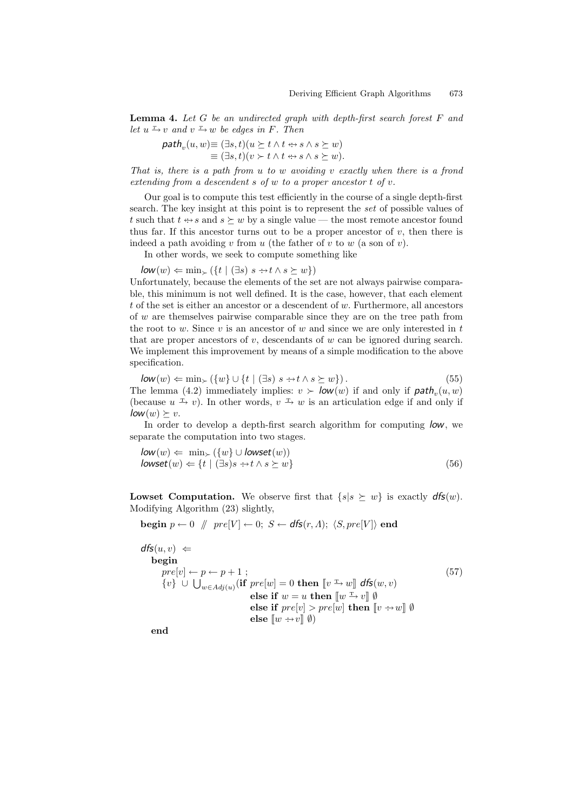**Lemma 4.** *Let* G *be an undirected graph with depth-first search forest* F *and let*  $u \xrightarrow{T} v$  *and*  $v \xrightarrow{T} w$  *be edges in F. Then* 

$$
\mathit{path}_v(u, w) \equiv (\exists s, t)(u \succeq t \land t \Leftrightarrow s \land s \succeq w) \equiv (\exists s, t)(v \succ t \land t \Leftrightarrow s \land s \succeq w).
$$

*That is, there is a path from* u *to* w *avoiding* v *exactly when there is a frond extending from a descendent* s *of* w *to a proper ancestor* t *of* v*.*

Our goal is to compute this test efficiently in the course of a single depth-first search. The key insight at this point is to represent the *set* of possible values of t such that  $t \leftrightarrow s$  and  $s \succeq w$  by a single value — the most remote ancestor found thus far. If this ancestor turns out to be a proper ancestor of  $v$ , then there is indeed a path avoiding  $v$  from  $u$  (the father of  $v$  to  $w$  (a son of  $v$ ).

In other words, we seek to compute something like

 $\mathsf{low}(w) \Leftarrow \min_{\succ} (\{t \mid (\exists s) \ s \rightarrow t \land s \succeq w\})$ 

Unfortunately, because the elements of the set are not always pairwise comparable, this minimum is not well defined. It is the case, however, that each element t of the set is either an ancestor or a descendent of  $w$ . Furthermore, all ancestors of w are themselves pairwise comparable since they are on the tree path from the root to w. Since v is an ancestor of w and since we are only interested in  $t$ that are proper ancestors of  $v$ , descendants of  $w$  can be ignored during search. We implement this improvement by means of a simple modification to the above specification.

 $\mathsf{low}(w) \Leftarrow \min_{\succ} (\{w\} \cup \{t \mid (\exists s) \ s \Rightarrow t \land s \succeq w\}).$  (55) The lemma (4.2) immediately implies:  $v > \mathsf{low}(w)$  if and only if  $\mathsf{path}_v(u, w)$ (because  $u \to v$ ). In other words,  $v \to w$  is an articulation edge if and only if  $\mathsf{low}(w) \succeq v$ .

In order to develop a depth-first search algorithm for computing *low*, we separate the computation into two stages.

$$
low(w) \Leftarrow \min_{\succ} (\{w\} \cup lowest(w))
$$
  

$$
lowest(w) \Leftarrow \{t \mid (\exists s)s \leftrightarrow t \land s \succeq w\}
$$
 (56)

**Lowset Computation.** We observe first that  $\{s | s \succeq w\}$  is exactly  $dfs(w)$ . Modifying Algorithm (23) slightly,

$$
\textbf{begin } p \leftarrow 0 \quad \text{\textbackslash} \quad pre[V] \leftarrow 0; \; S \leftarrow \textit{dfs}(r, \Lambda); \; \langle S, pre[V] \rangle \text{ end}
$$

$$
\mathsf{dfs}(u, v) \Leftarrow
$$
\n
$$
\begin{array}{ll}\n\text{begin} \\
\text{begin} \\
[-12pt]\n\end{array}\n& \text{begin}\n\end{array}\n\end{array}
$$
\n
$$
\begin{array}{ll}\n\text{begin} \\
\text{begin} \\
\end{array}\n\end{array}\n\begin{array}{ll}\n\text{begin} \\
\end{array}\n\end{array}
$$
\n
$$
\begin{array}{ll}\n\text{begin} \\
\text{begin} \\
\end{array}\n\end{array}\n\end{array}
$$
\n
$$
\begin{array}{ll}\n\text{begin} \\
\text{begin} \\
\end{array}\n\end{array}\n\end{array}
$$
\n
$$
\begin{array}{ll}\n\text{begin} \\
\text{begin} \\
\end{array}\n\end{array}\n\end{array}
$$
\n
$$
\begin{array}{ll}\n\text{else if } w = u \text{ then } \llbracket w \xrightarrow{\text{C}} v \rrbracket \text{ } \emptyset \\
\end{array}
$$
\n
$$
\begin{array}{ll}\n\text{else if } pre[v] > pre[w] \text{ then } \llbracket v \xrightarrow{\text{C}} w \rrbracket \emptyset \\
\end{array}
$$
\n
$$
\begin{array}{ll}\n\text{else } \llbracket w \xrightarrow{\text{C}} v \rrbracket \emptyset\n\end{array}
$$

**end**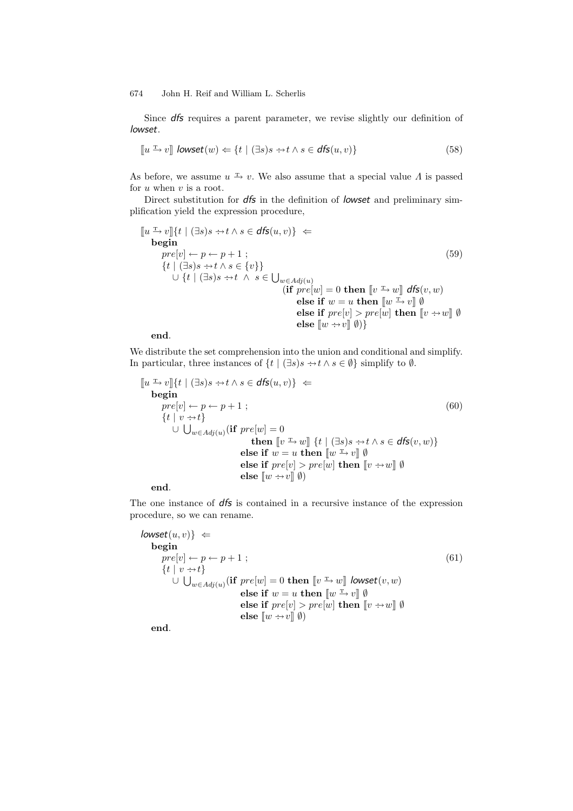Since *dfs* requires a parent parameter, we revise slightly our definition of *lowset*.

$$
[\![u \xrightarrow{\text{r}} v]\!] \text{ lowest}(w) \Leftarrow \{t \mid (\exists s)s \rightarrow t \land s \in \text{dfs}(u, v)\}\tag{58}
$$

As before, we assume  $u \stackrel{\text{T}}{\rightarrow} v$ . We also assume that a special value  $\Lambda$  is passed for  $u$  when  $v$  is a root.

Direct substitution for *dfs* in the definition of *lowset* and preliminary simplification yield the expression procedure,

$$
\begin{aligned}\n\llbracket u \xrightarrow{\text{I}} v \rrbracket \{ t \mid (\exists s) s \rightarrow t \land s \in \text{dfs}(u, v) \} \iff \\
&\text{begin} \\
\text{begin} \\
 \text{begin} \\
 \text{if } | \exists s \Rightarrow t \land s \in \{v\} \} \\
 & \cup \{ t \mid (\exists s) s \rightarrow t \land s \in \{v\} \} \\
 & \cup \{ t \mid (\exists s) s \rightarrow t \land s \in \bigcup_{w \in Adj(u)} \\
 & \text{if } pre[w] = 0 \text{ then } \llbracket v \xrightarrow{\text{I}} w \rrbracket \text{ dfs}(v, w) \\
 & \text{else if } w = u \text{ then } \llbracket w \xrightarrow{\text{I}} v \rrbracket \text{ } \emptyset \\
 & \text{else if } pre[v] > pre[w] \text{ then } \llbracket v \rightarrow w \rrbracket \text{ } \emptyset \\
 & \text{else } \llbracket w \rightarrow v \rrbracket \text{ } \emptyset \end{aligned}\n\end{aligned}
$$
\n(59)

**end**.

We distribute the set comprehension into the union and conditional and simplify. In particular, three instances of  $\{t \mid (\exists s) s \rightarrow t \land s \in \emptyset\}$  simplify to  $\emptyset$ .

$$
\begin{array}{ll}\n\left[\!\!\left[u\stackrel{\text{T}}{\to}v\right]\!\!\right]\n\left\{\!\!\left[t \mid (\exists s)s \stackrel{\text{def}}{\to} t \land s \in \text{dfs}(u,v)\right]\right\} & \Leftarrow \\
& \text{begin} \\
\text{begin} \\
\text{begin} \\
\end{array} \\
\text{begin}\n\end{array}\n\end{array}\n\right. & \\
\left[\!\!\left[t \mid v \stackrel{\text{def}}{\to} t\right]\right]\n\left\{\!\!\left[t \mid v \stackrel{\text{def}}{\to} t\right]\right\} \\
\text{where } [w] = 0 \\
\text{then } [v \stackrel{\text{T}}{\to} w] \left\{\!\!\left[t \mid (\exists s)s \stackrel{\text{def}}{\to} t \land s \in \text{dfs}(v, w)\right]\right\} \\
\text{else if } w = u \text{ then } [w \stackrel{\text{T}}{\to} v] \emptyset \\
\text{else if } pre[v] > pre[w] \text{ then } [v \stackrel{\text{def}}{\to} w] \emptyset \\
\text{else } [w \stackrel{\text{def}}{\to} v] \emptyset\n\end{array}\n\right)
$$
\n(60)

**end**.

The one instance of *dfs* is contained in a recursive instance of the expression procedure, so we can rename.

$$
lowest(u, v) \Leftrightarrow
$$
\nbegin\n
$$
pre[v] \leftarrow p \leftarrow p + 1 ;
$$
\n
$$
\{t \mid v \rightarrow t\}
$$
\n
$$
\cup \bigcup_{w \in Adj(u)} (\text{if } pre[w] = 0 \text{ then } [v \rightarrow w] \text{ lowest}(v, w)
$$
\n
$$
\text{else if } w = u \text{ then } [w \rightarrow v] \emptyset
$$
\n
$$
\text{else if } pre[v] > pre[w] \text{ then } [v \rightarrow w] \emptyset
$$
\n
$$
\text{else } [w \rightarrow v] \emptyset)
$$

**end**.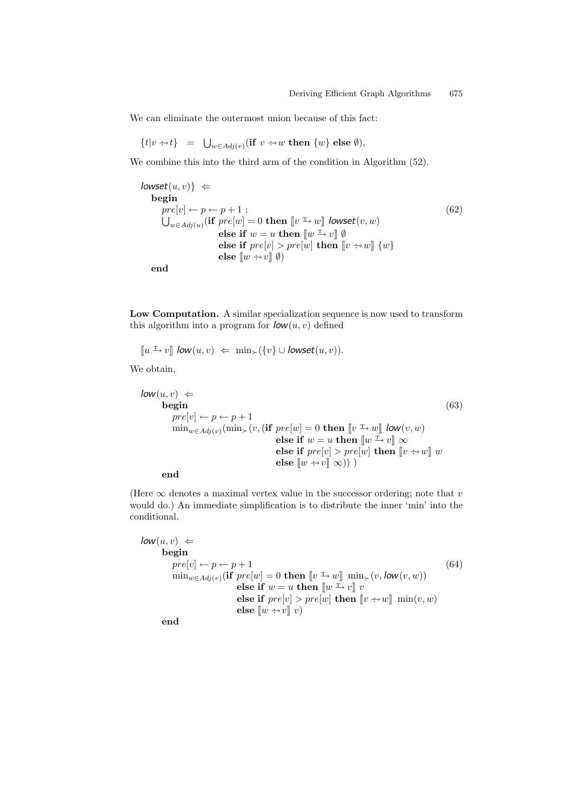We can eliminate the outermost union because of this fact:

$$
\{t|v \rightarrow t\} \hspace{0.2cm} = \hspace{0.2cm} \bigcup_{w \in Adj(v)} (\textbf{if} \hspace{0.2cm} v \rightarrow w \textbf{ then } \{w\} \textbf{ else } \emptyset),
$$

We combine this into the third arm of the condition in Algorithm (52).

$$
lowest(u, v) \Leftrightarrow
$$
\nbegin\n
$$
pre[v] \leftarrow p \leftarrow p + 1 ;
$$
\n
$$
\bigcup_{w \in Adj(u)} (\text{if } pre[w] = 0 \text{ then } [v \xrightarrow{r} w] \text{ lowest}(v, w)
$$
\n
$$
\text{else if } w = u \text{ then } [w \xrightarrow{r} v] \emptyset
$$
\n
$$
\text{else if } pre[v] > pre[w] \text{ then } [v \leftrightarrow w] \{w\}
$$
\n
$$
\text{else } [w \leftrightarrow v] \emptyset
$$

**end**

**Low Computation.** A similar specialization sequence is now used to transform this algorithm into a program for  $\mathbf{low}(u, v)$  defined

 $\lbrack\!\lbrack u \rbrack^{\mathrm{L}} v \rbrack\!\rbrack$  *low* $(u, v) \Leftarrow \min_{\succ} (\{v\} \cup \textit{lowest}(u, v)).$ 

We obtain,

$$
\begin{array}{ll}\n\text{low}(u, v) & \Leftarrow & \\
\text{begin} \\
\text{begin} \\
\text{begin} \\
\text{m}\end{mmatrix}\n\end{array}\n\end{array}\n\tag{63}
$$
\n
$$
\begin{array}{ll}\n\text{begin} \\
\text{begin} \\
\text{m}\end{array}\n\end{array}\n\text{begin}\n\text{begin} \\
\text{m}\end{array}\n\end{array}\n\text{begin}\n\text{begin} \\
\text{m}\end{mmatrix}\n\end{array}\n\text{begin}\n\text{begin} \\
\text{m}\end{mmatrix}\n\end{array}\n\text{begin}\n\text{begin} \\
\text{m}\end{mmatrix}\n\end{array}\n\text{begin}\n\text{begin} \\
\text{m}\end{mmatrix}\n\end{array}\n\text{begin}\n\text{begin} \\
\text{m}\end{m}\n\end{array}\n\text{begin}\n\text{begin} \\
\text{m}\end{m}\n\end{array}\n\text{begin}\n\text{allow}(v, w) \\
\text{else if } w = u \text{ then } \llbracket w \xrightarrow{v} v \rrbracket \infty \\
\text{else if } pre[v] > pre[w] \text{ then } \llbracket v \xrightarrow{v} w \rrbracket \infty\n\end{array}\n\end{array}
$$

**end**

(Here  $\infty$  denotes a maximal vertex value in the successor ordering; note that v would do.) An immediate simplification is to distribute the inner 'min' into the conditional.

 $\mathit{low}(u, v) \Leftarrow$ **begin**<br> $pre[v] \leftarrow p \leftarrow p + 1$  $pre[v] \leftarrow p \leftarrow p + 1$  (64)  $\min_{w \in Adj(v)}(\textbf{if } pre[w] = 0 \textbf{ then } [v \rightarrow w] \min_{\succ}(v, \textbf{low}(v, w))$ **else if**  $w = u$  **then**  $\lbrack w \rbrack^{\mathcal{I}} v \rbrack v$ **else if**  $pre[v] > pre[w]$  **then**  $[v \rightarrow w]$  min $(v, w)$ **else**  $\llbracket w \rightarrow v \rrbracket v$ 

**end**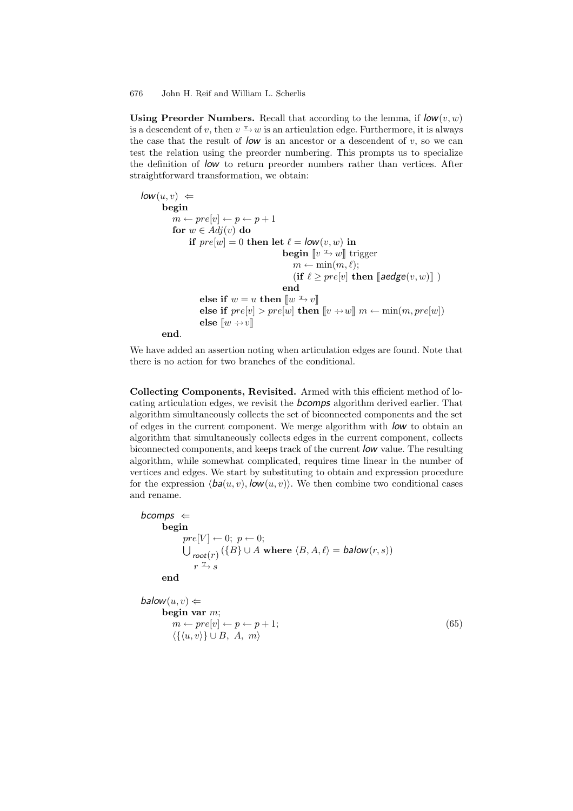**Using Preorder Numbers.** Recall that according to the lemma, if  $\textit{low}(v, w)$ is a descendent of v, then  $v \to w$  is an articulation edge. Furthermore, it is always the case that the result of  $low$  is an ancestor or a descendent of  $v$ , so we can test the relation using the preorder numbering. This prompts us to specialize the definition of *low* to return preorder numbers rather than vertices. After straightforward transformation, we obtain:

```
low(u, v) \Leftrightarrowbegin
            m \leftarrow pre[v] \leftarrow p \leftarrow p + 1for w \in Adj(v) do
                   if pre[w] = 0 then let \ell = \text{low}(v, w) in
                                                       begin [v \xrightarrow{\text{T}} w] trigger
                                                            m \leftarrow \min(m, \ell);(\textbf{if } \ell \geq pre[v] \textbf{ then } [\textbf{aedge}(v, w)]end
                       else if w = u then \llbracket w \xrightarrow{\text{T}} v \rrbracketelse if pre[v] > pre[w] then [v \rightarrow w] m \leftarrow min(m, pre[w])else \llbracket w \div v \rrbracketend.
```
We have added an assertion noting when articulation edges are found. Note that there is no action for two branches of the conditional.

**Collecting Components, Revisited.** Armed with this efficient method of locating articulation edges, we revisit the *bcomps* algorithm derived earlier. That algorithm simultaneously collects the set of biconnected components and the set of edges in the current component. We merge algorithm with *low* to obtain an algorithm that simultaneously collects edges in the current component, collects biconnected components, and keeps track of the current *low* value. The resulting algorithm, while somewhat complicated, requires time linear in the number of vertices and edges. We start by substituting to obtain and expression procedure for the expression  $\langle ba(u, v), \textit{low}(u, v) \rangle$ . We then combine two conditional cases and rename.

```
bcomps ⇐
        begin
                 pre[V] \leftarrow 0; p \leftarrow 0;\bigcup_{root(r)} (\{B\} \cup A \text{ where } \langle B, A, \ell \rangle = \text{balow}(r, s))r \xrightarrow{\mathrm{T}} send
```

```
balow(u, v) \Leftarrowbegin var m;
        m \leftarrow pre[v] \leftarrow p \leftarrow p + 1; (65)
         \langle {\{\langle u,v\rangle\}} \cup B, A, m \rangle
```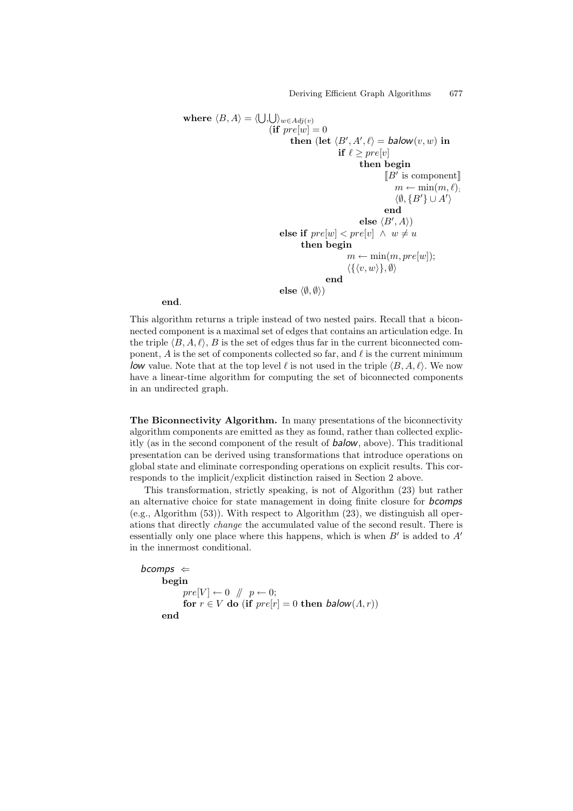Deriving Efficient Graph Algorithms 677

```
where \langle B, A \rangle = \langle \bigcup, \bigcup \rangle_{w \in Adj(v)}(if pre[w]=0then (let \langle B', A', \ell \rangle = balow(v, w) in
                                                                        if \ell \geq pre[v]then begin
                                                                                            \llbracket B' \rbracket is component
                                                                                                  m \leftarrow \min(m, \ell);\langle \emptyset, \{B'\} \cup A'\rangleend
                                                                                 \mathbf{else} \langle B',A \rangle)else if pre[w] < pre[v] \land w \neq uthen begin
                                                                           m \leftarrow \min(m, pre[w]);
                                                                            \langle \{ \langle v, w \rangle \}, \emptyset \rangleend
                                            \mathbf{else}\ \left\langle \emptyset,\emptyset\right\rangle \mathbf{)}
```
**end**.

This algorithm returns a triple instead of two nested pairs. Recall that a biconnected component is a maximal set of edges that contains an articulation edge. In the triple  $\langle B, A, \ell \rangle$ , B is the set of edges thus far in the current biconnected component, A is the set of components collected so far, and  $\ell$  is the current minimum low value. Note that at the top level  $\ell$  is not used in the triple  $\langle B, A, \ell \rangle$ . We now have a linear-time algorithm for computing the set of biconnected components in an undirected graph.

**The Biconnectivity Algorithm.** In many presentations of the biconnectivity algorithm components are emitted as they as found, rather than collected explicitly (as in the second component of the result of *balow*, above). This traditional presentation can be derived using transformations that introduce operations on global state and eliminate corresponding operations on explicit results. This corresponds to the implicit/explicit distinction raised in Section 2 above.

This transformation, strictly speaking, is not of Algorithm (23) but rather an alternative choice for state management in doing finite closure for *bcomps* (e.g., Algorithm (53)). With respect to Algorithm (23), we distinguish all operations that directly *change* the accumulated value of the second result. There is essentially only one place where this happens, which is when  $B'$  is added to  $A'$ in the innermost conditional.

```
bcomps ⇐
       begin
              pre[V] \leftarrow 0 \quad \text{\textbackslash} \quad p \leftarrow 0;for r \in V do (if pre[r] = 0 then balow(\Lambda, r))
       end
```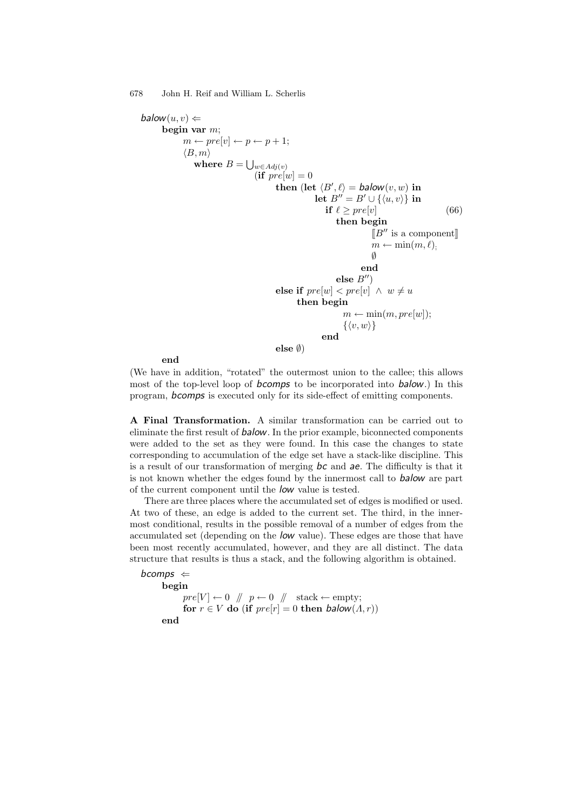```
balow(u, v) \Leftarrowbegin var m;
               m \leftarrow pre[v] \leftarrow p \leftarrow p + 1;\langle B,m\ranglewhere B = \bigcup_{w \in Adj(v)}(\textbf{if } pre[w] = 0)then (\text{let } \langle B', \ell \rangle = \text{balow}(v, w) \text{ in})\mathbf{let}\,\, B'' = B' \cup \{\langle u,v\rangle\}\,\, \mathbf{in}if \ell \geq pre[v] (66)
                                                                       then begin
                                                                                    [B'' is a component]m \leftarrow \min(m, \ell);\emptysetend
                                                                      else B'')
                                                 else if pre[w] < pre[v] \land w \neq uthen begin
                                                                         m \leftarrow \min(m, pre[w]);
                                                                          \{\langle v, w \rangle\}end
                                                 else ∅)
```
**end**

(We have in addition, "rotated" the outermost union to the callee; this allows most of the top-level loop of *bcomps* to be incorporated into *balow*.) In this program, *bcomps* is executed only for its side-effect of emitting components.

**A Final Transformation.** A similar transformation can be carried out to eliminate the first result of *balow*. In the prior example, biconnected components were added to the set as they were found. In this case the changes to state corresponding to accumulation of the edge set have a stack-like discipline. This is a result of our transformation of merging *bc* and *ae*. The difficulty is that it is not known whether the edges found by the innermost call to *balow* are part of the current component until the *low* value is tested.

There are three places where the accumulated set of edges is modified or used. At two of these, an edge is added to the current set. The third, in the innermost conditional, results in the possible removal of a number of edges from the accumulated set (depending on the *low* value). These edges are those that have been most recently accumulated, however, and they are all distinct. The data structure that results is thus a stack, and the following algorithm is obtained.

```
bcomps ⇐
      begin
             pre[V] \leftarrow 0 \quad // \quad p \leftarrow 0 \quad // \quad stack \leftarrow empty;for r \in V do (if pre[r] = 0 then balow(\Lambda, r))
      end
```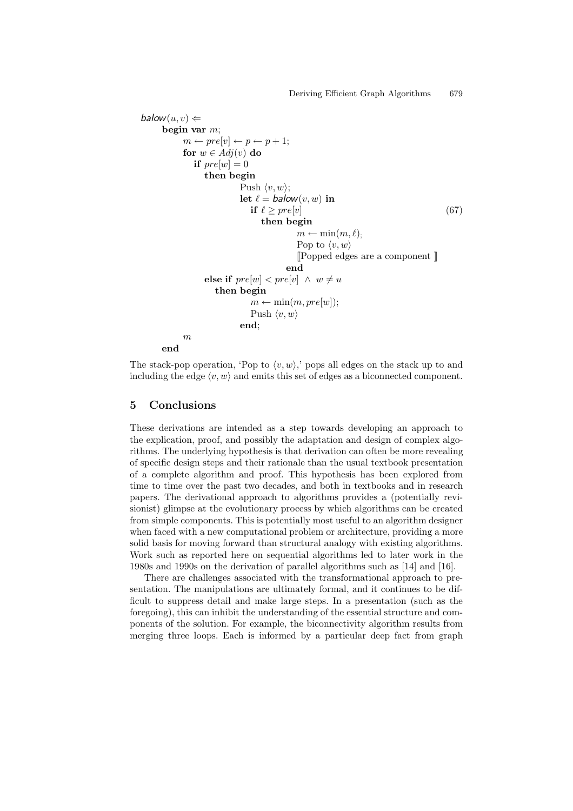```
balow(u, v) \Leftarrowbegin var m;
            m \leftarrow pre[v] \leftarrow p \leftarrow p + 1;for w \in Adj(v) do
               if pre[w]=0then begin
                             Push \langle v, w \rangle;
                             \text{let } \ell = \text{balow}(v, w) \text{ in}if \ell \geq pre[v] (67)
                                    then begin
                                              m \leftarrow \min(m, \ell);Pop to \langle v, w \rangle[[Popped edges are a component ]]
                                           end
                  else if pre[w] < pre[v] \land w \neq uthen begin
                                m \leftarrow \min(m, pre[w]);
                                 Push \langle v, w \rangleend;
            m
      end
```
The stack-pop operation, 'Pop to  $\langle v, w \rangle$ ,' pops all edges on the stack up to and including the edge  $\langle v, w \rangle$  and emits this set of edges as a biconnected component.

## **5 Conclusions**

These derivations are intended as a step towards developing an approach to the explication, proof, and possibly the adaptation and design of complex algorithms. The underlying hypothesis is that derivation can often be more revealing of specific design steps and their rationale than the usual textbook presentation of a complete algorithm and proof. This hypothesis has been explored from time to time over the past two decades, and both in textbooks and in research papers. The derivational approach to algorithms provides a (potentially revisionist) glimpse at the evolutionary process by which algorithms can be created from simple components. This is potentially most useful to an algorithm designer when faced with a new computational problem or architecture, providing a more solid basis for moving forward than structural analogy with existing algorithms. Work such as reported here on sequential algorithms led to later work in the 1980s and 1990s on the derivation of parallel algorithms such as [14] and [16].

There are challenges associated with the transformational approach to presentation. The manipulations are ultimately formal, and it continues to be difficult to suppress detail and make large steps. In a presentation (such as the foregoing), this can inhibit the understanding of the essential structure and components of the solution. For example, the biconnectivity algorithm results from merging three loops. Each is informed by a particular deep fact from graph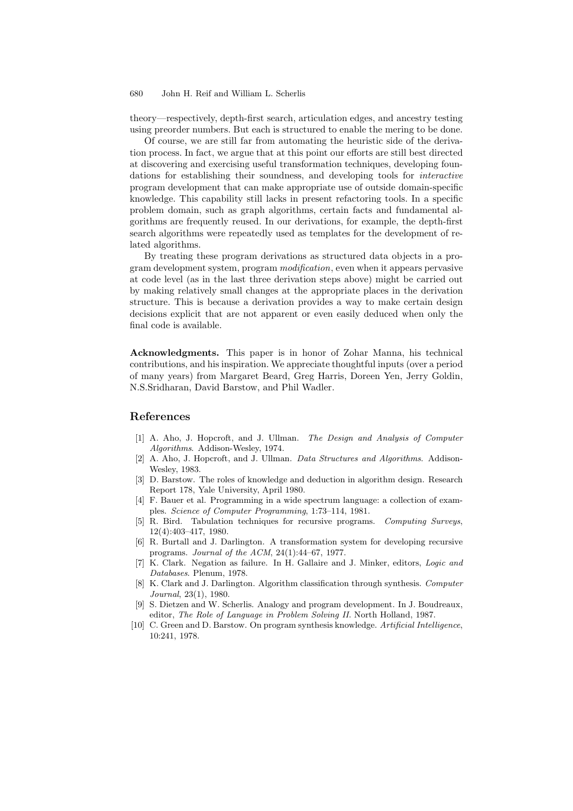theory—respectively, depth-first search, articulation edges, and ancestry testing using preorder numbers. But each is structured to enable the mering to be done.

Of course, we are still far from automating the heuristic side of the derivation process. In fact, we argue that at this point our efforts are still best directed at discovering and exercising useful transformation techniques, developing foundations for establishing their soundness, and developing tools for *interactive* program development that can make appropriate use of outside domain-specific knowledge. This capability still lacks in present refactoring tools. In a specific problem domain, such as graph algorithms, certain facts and fundamental algorithms are frequently reused. In our derivations, for example, the depth-first search algorithms were repeatedly used as templates for the development of related algorithms.

By treating these program derivations as structured data objects in a program development system, program *modification*, even when it appears pervasive at code level (as in the last three derivation steps above) might be carried out by making relatively small changes at the appropriate places in the derivation structure. This is because a derivation provides a way to make certain design decisions explicit that are not apparent or even easily deduced when only the final code is available.

**Acknowledgments.** This paper is in honor of Zohar Manna, his technical contributions, and his inspiration. We appreciate thoughtful inputs (over a period of many years) from Margaret Beard, Greg Harris, Doreen Yen, Jerry Goldin, N.S.Sridharan, David Barstow, and Phil Wadler.

## **References**

- [1] A. Aho, J. Hopcroft, and J. Ullman. *The Design and Analysis of Computer Algorithms*. Addison-Wesley, 1974.
- [2] A. Aho, J. Hopcroft, and J. Ullman. *Data Structures and Algorithms*. Addison-Wesley, 1983.
- [3] D. Barstow. The roles of knowledge and deduction in algorithm design. Research Report 178, Yale University, April 1980.
- [4] F. Bauer et al. Programming in a wide spectrum language: a collection of examples. *Science of Computer Programming*, 1:73–114, 1981.
- [5] R. Bird. Tabulation techniques for recursive programs. *Computing Surveys*, 12(4):403–417, 1980.
- [6] R. Burtall and J. Darlington. A transformation system for developing recursive programs. *Journal of the ACM*, 24(1):44–67, 1977.
- [7] K. Clark. Negation as failure. In H. Gallaire and J. Minker, editors, *Logic and Databases*. Plenum, 1978.
- [8] K. Clark and J. Darlington. Algorithm classification through synthesis. *Computer Journal*, 23(1), 1980.
- [9] S. Dietzen and W. Scherlis. Analogy and program development. In J. Boudreaux, editor, *The Role of Language in Problem Solving II*. North Holland, 1987.
- [10] C. Green and D. Barstow. On program synthesis knowledge. *Artificial Intelligence*, 10:241, 1978.